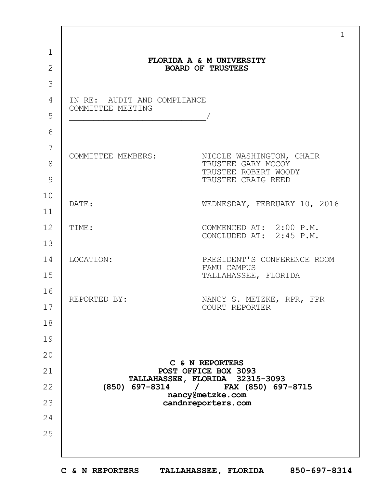|                                                  | FLORIDA A & M UNIVERSITY                                |
|--------------------------------------------------|---------------------------------------------------------|
|                                                  | <b>BOARD OF TRUSTEES</b>                                |
|                                                  |                                                         |
| IN RE: AUDIT AND COMPLIANCE<br>COMMITTEE MEETING |                                                         |
|                                                  |                                                         |
|                                                  |                                                         |
| COMMITTEE MEMBERS:                               | NICOLE WASHINGTON, CHAIR                                |
|                                                  | TRUSTEE GARY MCCOY<br>TRUSTEE ROBERT WOODY              |
|                                                  | TRUSTEE CRAIG REED                                      |
| DATE:                                            | WEDNESDAY, FEBRUARY 10, 2016                            |
|                                                  |                                                         |
| TIME:                                            | COMMENCED AT: 2:00 P.M.<br>CONCLUDED AT: 2:45 P.M.      |
|                                                  |                                                         |
| LOCATION:                                        | PRESIDENT'S CONFERENCE ROOM<br>FAMU CAMPUS              |
|                                                  | TALLAHASSEE, FLORIDA                                    |
| REPORTED BY:                                     | NANCY S. METZKE, RPR, FPR                               |
|                                                  | COURT REPORTER                                          |
|                                                  |                                                         |
|                                                  |                                                         |
|                                                  | C & N REPORTERS                                         |
|                                                  | POST OFFICE BOX 3093<br>TALLAHASSEE, FLORIDA 32315-3093 |
|                                                  | (850) 697-8314 / FAX (850) 697-8715<br>nancy@metzke.com |
|                                                  | candnreporters.com                                      |
|                                                  |                                                         |
|                                                  |                                                         |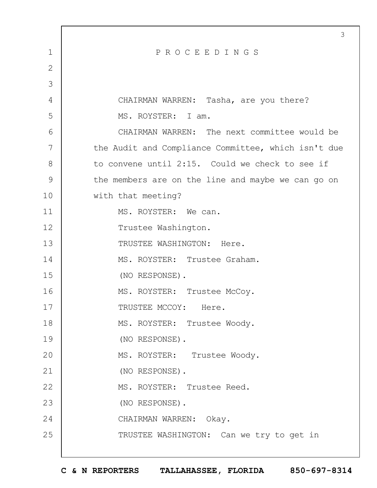|                | 3                                                   |
|----------------|-----------------------------------------------------|
| $\mathbf{1}$   | PROCEEDINGS                                         |
| $\overline{2}$ |                                                     |
| 3              |                                                     |
| 4              | CHAIRMAN WARREN: Tasha, are you there?              |
| 5              | MS. ROYSTER: I am.                                  |
| 6              | CHAIRMAN WARREN: The next committee would be        |
| 7              | the Audit and Compliance Committee, which isn't due |
| 8              | to convene until 2:15. Could we check to see if     |
| 9              | the members are on the line and maybe we can go on  |
| 10             | with that meeting?                                  |
| 11             | MS. ROYSTER: We can.                                |
| 12             | Trustee Washington.                                 |
| 13             | TRUSTEE WASHINGTON: Here.                           |
| 14             | MS. ROYSTER: Trustee Graham.                        |
| 15             | (NO RESPONSE).                                      |
| 16             | MS. ROYSTER: Trustee McCoy.                         |
| 17             | TRUSTEE MCCOY: Here.                                |
| 18             | MS. ROYSTER: Trustee Woody.                         |
| 19             | (NO RESPONSE).                                      |
| 20             | MS. ROYSTER: Trustee Woody.                         |
| 21             | (NO RESPONSE).                                      |
| 22             | MS. ROYSTER: Trustee Reed.                          |
| 23             | (NO RESPONSE).                                      |
| 24             | CHAIRMAN WARREN: Okay.                              |
| 25             | TRUSTEE WASHINGTON: Can we try to get in            |
|                |                                                     |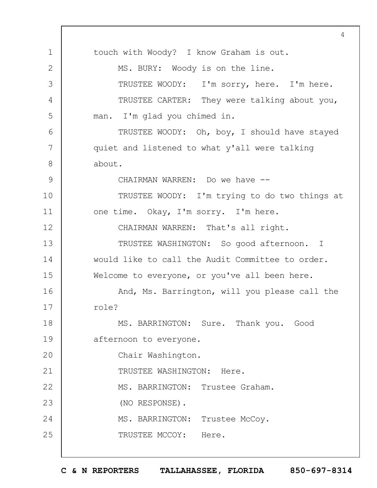1 2 3 4 5 6 7 8 9 10 11 12 13 14 15 16 17 18 19  $20$ 21 22 23 24 25 4 touch with Woody? I know Graham is out. MS. BURY: Woody is on the line. TRUSTEE WOODY: I'm sorry, here. I'm here. TRUSTEE CARTER: They were talking about you, man. I'm glad you chimed in. TRUSTEE WOODY: Oh, boy, I should have stayed quiet and listened to what y'all were talking about. CHAIRMAN WARREN: Do we have --TRUSTEE WOODY: I'm trying to do two things at one time. Okay, I'm sorry. I'm here. CHAIRMAN WARREN: That's all right. TRUSTEE WASHINGTON: So good afternoon. I would like to call the Audit Committee to order. Welcome to everyone, or you've all been here. And, Ms. Barrington, will you please call the role? MS. BARRINGTON: Sure. Thank you. Good afternoon to everyone. Chair Washington. TRUSTEE WASHINGTON: Here. MS. BARRINGTON: Trustee Graham. (NO RESPONSE). MS. BARRINGTON: Trustee McCoy. TRUSTEE MCCOY: Here.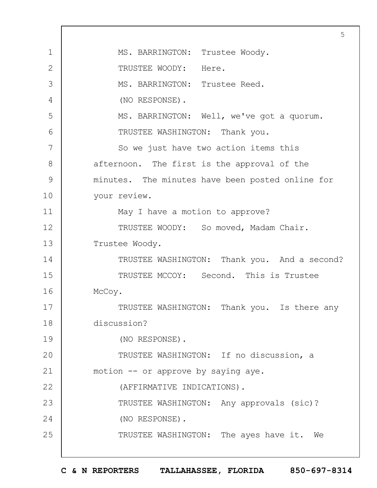1 2 3 4 5 6 7 8 9 10 11 12 13 14 15 16 17 18 19  $20$ 21 22 23 24 25 5 MS. BARRINGTON: Trustee Woody. TRUSTEE WOODY: Here. MS. BARRINGTON: Trustee Reed. (NO RESPONSE). MS. BARRINGTON: Well, we've got a quorum. TRUSTEE WASHINGTON: Thank you. So we just have two action items this afternoon. The first is the approval of the minutes. The minutes have been posted online for your review. May I have a motion to approve? TRUSTEE WOODY: So moved, Madam Chair. Trustee Woody. TRUSTEE WASHINGTON: Thank you. And a second? TRUSTEE MCCOY: Second. This is Trustee McCoy. TRUSTEE WASHINGTON: Thank you. Is there any discussion? (NO RESPONSE). TRUSTEE WASHINGTON: If no discussion, a motion -- or approve by saying aye. (AFFIRMATIVE INDICATIONS). TRUSTEE WASHINGTON: Any approvals (sic)? (NO RESPONSE). TRUSTEE WASHINGTON: The ayes have it. We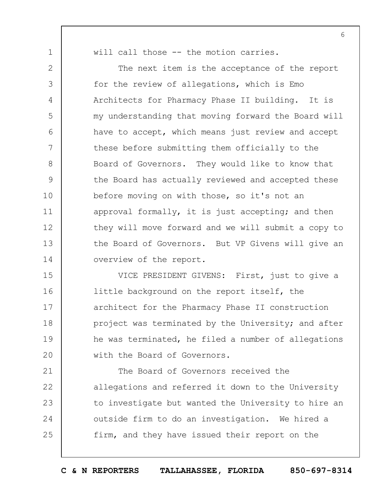1

2

3

4

5

6

7

8

9

10

11

12

13

14

will call those -- the motion carries.

The next item is the acceptance of the report for the review of allegations, which is Emo Architects for Pharmacy Phase II building. It is my understanding that moving forward the Board will have to accept, which means just review and accept these before submitting them officially to the Board of Governors. They would like to know that the Board has actually reviewed and accepted these before moving on with those, so it's not an approval formally, it is just accepting; and then they will move forward and we will submit a copy to the Board of Governors. But VP Givens will give an overview of the report.

15 16 17 18 19  $20$ VICE PRESIDENT GIVENS: First, just to give a little background on the report itself, the architect for the Pharmacy Phase II construction project was terminated by the University; and after he was terminated, he filed a number of allegations with the Board of Governors.

21 22 23 24 25 The Board of Governors received the allegations and referred it down to the University to investigate but wanted the University to hire an outside firm to do an investigation. We hired a firm, and they have issued their report on the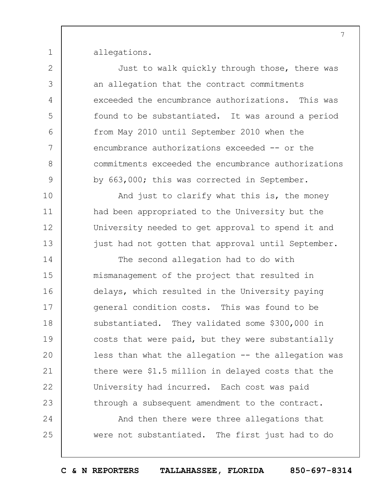allegations.

1

| $\mathbf{2}$ | Just to walk quickly through those, there was       |
|--------------|-----------------------------------------------------|
| 3            | an allegation that the contract commitments         |
| 4            | exceeded the encumbrance authorizations. This was   |
| 5            | found to be substantiated. It was around a period   |
| 6            | from May 2010 until September 2010 when the         |
| 7            | encumbrance authorizations exceeded -- or the       |
| $8\,$        | commitments exceeded the encumbrance authorizations |
| $\mathsf{9}$ | by 663,000; this was corrected in September.        |
| 10           | And just to clarify what this is, the money         |
| 11           | had been appropriated to the University but the     |
| 12           | University needed to get approval to spend it and   |
| 13           | just had not gotten that approval until September.  |
| 14           | The second allegation had to do with                |
| 15           | mismanagement of the project that resulted in       |
| 16           | delays, which resulted in the University paying     |
| 17           | general condition costs. This was found to be       |
| 18           | substantiated. They validated some \$300,000 in     |
| 19           | costs that were paid, but they were substantially   |
| 20           | less than what the allegation -- the allegation was |
| 21           | there were \$1.5 million in delayed costs that the  |
| 22           | University had incurred. Each cost was paid         |
| 23           | through a subsequent amendment to the contract.     |
| 24           | And then there were three allegations that          |
| 25           | were not substantiated. The first just had to do    |
|              |                                                     |

**C & N REPORTERS TALLAHASSEE, FLORIDA 850-697-8314**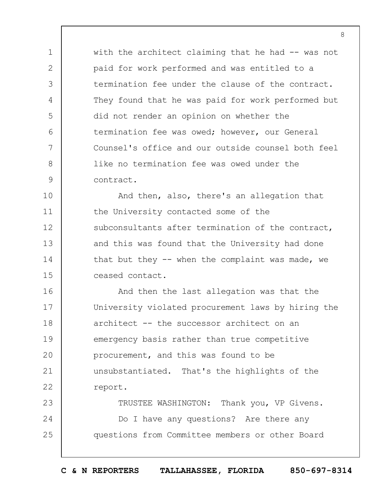with the architect claiming that he had -- was not paid for work performed and was entitled to a termination fee under the clause of the contract. They found that he was paid for work performed but did not render an opinion on whether the termination fee was owed; however, our General Counsel's office and our outside counsel both feel like no termination fee was owed under the contract.

1

2

3

4

5

6

7

8

9

10 11 12 13 14 15 And then, also, there's an allegation that the University contacted some of the subconsultants after termination of the contract, and this was found that the University had done that but they -- when the complaint was made, we ceased contact.

16 17 18 19  $20$ 21 22 And then the last allegation was that the University violated procurement laws by hiring the architect -- the successor architect on an emergency basis rather than true competitive procurement, and this was found to be unsubstantiated. That's the highlights of the report.

23 24 25 TRUSTEE WASHINGTON: Thank you, VP Givens. Do I have any questions? Are there any questions from Committee members or other Board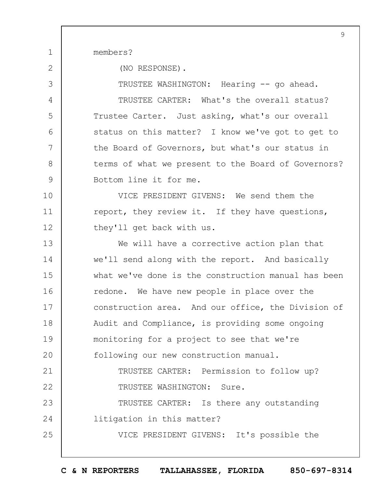members?

1

2

(NO RESPONSE).

3 4 5 6 7 8 9 TRUSTEE WASHINGTON: Hearing -- go ahead. TRUSTEE CARTER: What's the overall status? Trustee Carter. Just asking, what's our overall status on this matter? I know we've got to get to the Board of Governors, but what's our status in terms of what we present to the Board of Governors? Bottom line it for me.

10 11 12 VICE PRESIDENT GIVENS: We send them the report, they review it. If they have questions, they'll get back with us.

13 14 15 16 17 18 19  $20$ 21 22 23 24 25 We will have a corrective action plan that we'll send along with the report. And basically what we've done is the construction manual has been redone. We have new people in place over the construction area. And our office, the Division of Audit and Compliance, is providing some ongoing monitoring for a project to see that we're following our new construction manual. TRUSTEE CARTER: Permission to follow up? TRUSTEE WASHINGTON: Sure. TRUSTEE CARTER: Is there any outstanding litigation in this matter? VICE PRESIDENT GIVENS: It's possible the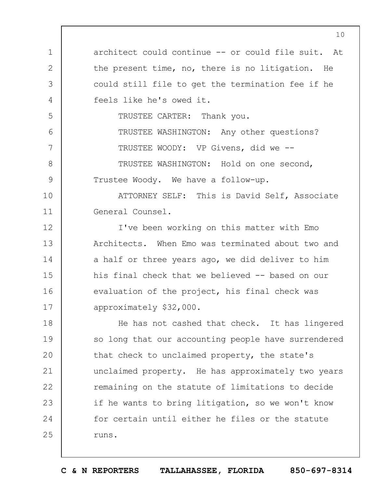1 2 3 4 5 6 7 8 9 10 11 12 13 14 15 16 17 18 19  $20$ 21 22 23 24 25 architect could continue -- or could file suit. At the present time, no, there is no litigation. He could still file to get the termination fee if he feels like he's owed it. TRUSTEE CARTER: Thank you. TRUSTEE WASHINGTON: Any other questions? TRUSTEE WOODY: VP Givens, did we -- TRUSTEE WASHINGTON: Hold on one second, Trustee Woody. We have a follow-up. ATTORNEY SELF: This is David Self, Associate General Counsel. I've been working on this matter with Emo Architects. When Emo was terminated about two and a half or three years ago, we did deliver to him his final check that we believed -- based on our evaluation of the project, his final check was approximately \$32,000. He has not cashed that check. It has lingered so long that our accounting people have surrendered that check to unclaimed property, the state's unclaimed property. He has approximately two years remaining on the statute of limitations to decide if he wants to bring litigation, so we won't know for certain until either he files or the statute runs.

10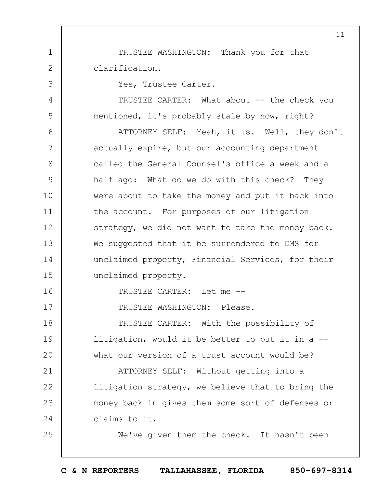TRUSTEE WASHINGTON: Thank you for that clarification.

Yes, Trustee Carter.

1

2

3

4

5

16

17

25

TRUSTEE CARTER: What about -- the check you mentioned, it's probably stale by now, right?

6 7 8 9 10 11 12 13 14 15 ATTORNEY SELF: Yeah, it is. Well, they don't actually expire, but our accounting department called the General Counsel's office a week and a half ago: What do we do with this check? They were about to take the money and put it back into the account. For purposes of our litigation strategy, we did not want to take the money back. We suggested that it be surrendered to DMS for unclaimed property, Financial Services, for their unclaimed property.

TRUSTEE CARTER: Let me --

TRUSTEE WASHINGTON: Please.

18 19  $20$ TRUSTEE CARTER: With the possibility of litigation, would it be better to put it in a - what our version of a trust account would be?

21 22 23 24 ATTORNEY SELF: Without getting into a litigation strategy, we believe that to bring the money back in gives them some sort of defenses or claims to it.

We've given them the check. It hasn't been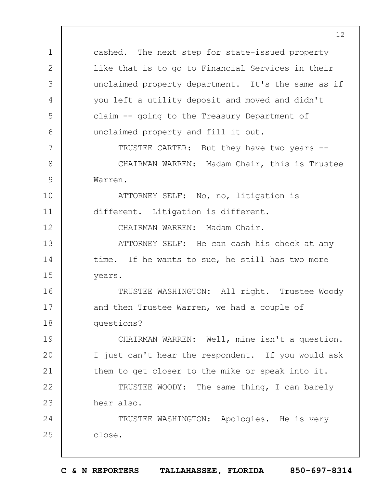1 2 3 4 5 6 7 8 9 10 11 12 13 14 15 16 17 18 19  $20$ 21 cashed. The next step for state-issued property like that is to go to Financial Services in their unclaimed property department. It's the same as if you left a utility deposit and moved and didn't claim -- going to the Treasury Department of unclaimed property and fill it out. TRUSTEE CARTER: But they have two years -- CHAIRMAN WARREN: Madam Chair, this is Trustee Warren. ATTORNEY SELF: No, no, litigation is different. Litigation is different. CHAIRMAN WARREN: Madam Chair. ATTORNEY SELF: He can cash his check at any time. If he wants to sue, he still has two more years. TRUSTEE WASHINGTON: All right. Trustee Woody and then Trustee Warren, we had a couple of questions? CHAIRMAN WARREN: Well, mine isn't a question. I just can't hear the respondent. If you would ask them to get closer to the mike or speak into it.

22 23 TRUSTEE WOODY: The same thing, I can barely hear also.

24 25 TRUSTEE WASHINGTON: Apologies. He is very close.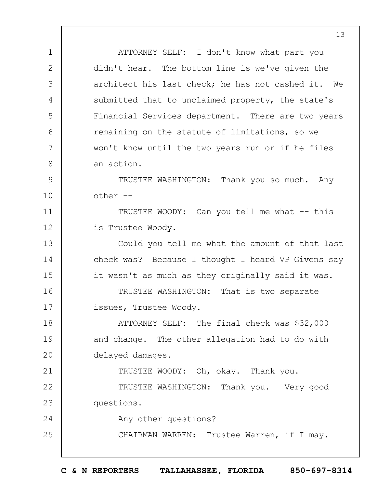1 2 3 4 5 6 7 8 9 10 11 12 13 14 15 16 17 18 19  $20$ 21 22 23 24 25 ATTORNEY SELF: I don't know what part you didn't hear. The bottom line is we've given the architect his last check; he has not cashed it. We submitted that to unclaimed property, the state's Financial Services department. There are two years remaining on the statute of limitations, so we won't know until the two years run or if he files an action. TRUSTEE WASHINGTON: Thank you so much. Any other -- TRUSTEE WOODY: Can you tell me what -- this is Trustee Woody. Could you tell me what the amount of that last check was? Because I thought I heard VP Givens say it wasn't as much as they originally said it was. TRUSTEE WASHINGTON: That is two separate issues, Trustee Woody. ATTORNEY SELF: The final check was \$32,000 and change. The other allegation had to do with delayed damages. TRUSTEE WOODY: Oh, okay. Thank you. TRUSTEE WASHINGTON: Thank you. Very good questions. Any other questions? CHAIRMAN WARREN: Trustee Warren, if I may.

**C & N REPORTERS TALLAHASSEE, FLORIDA 850-697-8314**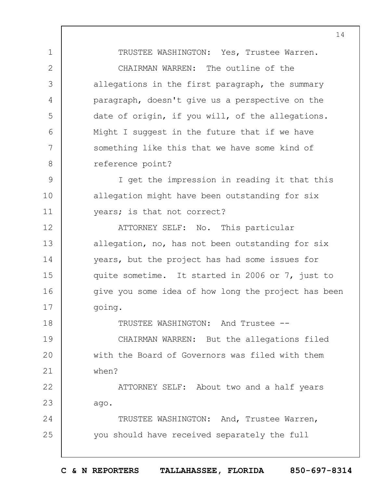TRUSTEE WASHINGTON: Yes, Trustee Warren. CHAIRMAN WARREN: The outline of the allegations in the first paragraph, the summary paragraph, doesn't give us a perspective on the date of origin, if you will, of the allegations. Might I suggest in the future that if we have something like this that we have some kind of reference point?

1

2

3

4

5

6

7

8

18

9 10 11 I get the impression in reading it that this allegation might have been outstanding for six years; is that not correct?

12 13 14 15 16 17 ATTORNEY SELF: No. This particular allegation, no, has not been outstanding for six years, but the project has had some issues for quite sometime. It started in 2006 or 7, just to give you some idea of how long the project has been going.

TRUSTEE WASHINGTON: And Trustee --

19  $20$ 21 CHAIRMAN WARREN: But the allegations filed with the Board of Governors was filed with them when?

22 23 ATTORNEY SELF: About two and a half years ago.

24 25 TRUSTEE WASHINGTON: And, Trustee Warren, you should have received separately the full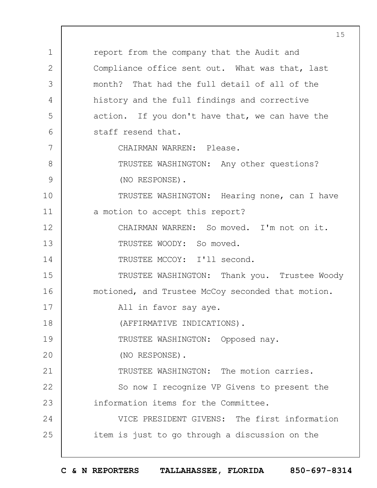1 2 3 4 5 6 7 8 9 10 11 12 13 14 15 16 17 18 19  $20$ 21 22 23 24 25 report from the company that the Audit and Compliance office sent out. What was that, last month? That had the full detail of all of the history and the full findings and corrective action. If you don't have that, we can have the staff resend that. CHAIRMAN WARREN: Please. TRUSTEE WASHINGTON: Any other questions? (NO RESPONSE). TRUSTEE WASHINGTON: Hearing none, can I have a motion to accept this report? CHAIRMAN WARREN: So moved. I'm not on it. TRUSTEE WOODY: So moved. TRUSTEE MCCOY: I'll second. TRUSTEE WASHINGTON: Thank you. Trustee Woody motioned, and Trustee McCoy seconded that motion. All in favor say aye. (AFFIRMATIVE INDICATIONS). TRUSTEE WASHINGTON: Opposed nay. (NO RESPONSE). TRUSTEE WASHINGTON: The motion carries. So now I recognize VP Givens to present the information items for the Committee. VICE PRESIDENT GIVENS: The first information item is just to go through a discussion on the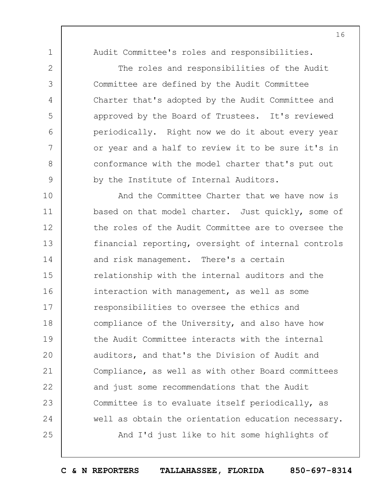1

2

3

4

5

6

7

8

9

Audit Committee's roles and responsibilities.

The roles and responsibilities of the Audit Committee are defined by the Audit Committee Charter that's adopted by the Audit Committee and approved by the Board of Trustees. It's reviewed periodically. Right now we do it about every year or year and a half to review it to be sure it's in conformance with the model charter that's put out by the Institute of Internal Auditors.

10 11 12 13 14 15 16 17 18 19  $20$ 21 22 23 24 25 And the Committee Charter that we have now is based on that model charter. Just quickly, some of the roles of the Audit Committee are to oversee the financial reporting, oversight of internal controls and risk management. There's a certain relationship with the internal auditors and the interaction with management, as well as some responsibilities to oversee the ethics and compliance of the University, and also have how the Audit Committee interacts with the internal auditors, and that's the Division of Audit and Compliance, as well as with other Board committees and just some recommendations that the Audit Committee is to evaluate itself periodically, as well as obtain the orientation education necessary. And I'd just like to hit some highlights of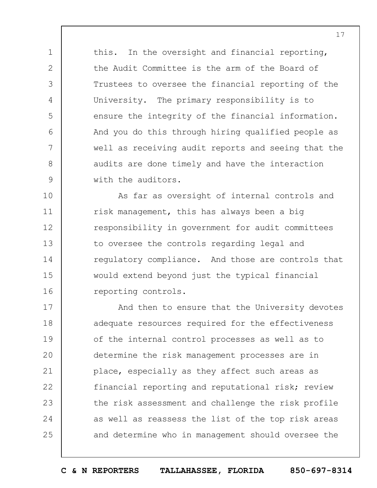this. In the oversight and financial reporting, the Audit Committee is the arm of the Board of Trustees to oversee the financial reporting of the University. The primary responsibility is to ensure the integrity of the financial information. And you do this through hiring qualified people as well as receiving audit reports and seeing that the audits are done timely and have the interaction with the auditors.

1

2

3

4

5

6

7

8

9

10 11 12 13 14 15 16 As far as oversight of internal controls and risk management, this has always been a big responsibility in government for audit committees to oversee the controls regarding legal and regulatory compliance. And those are controls that would extend beyond just the typical financial reporting controls.

17 18 19  $20$ 21 22 23 24 25 And then to ensure that the University devotes adequate resources required for the effectiveness of the internal control processes as well as to determine the risk management processes are in place, especially as they affect such areas as financial reporting and reputational risk; review the risk assessment and challenge the risk profile as well as reassess the list of the top risk areas and determine who in management should oversee the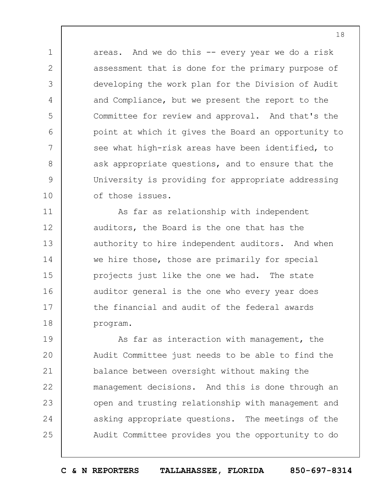areas. And we do this -- every year we do a risk assessment that is done for the primary purpose of developing the work plan for the Division of Audit and Compliance, but we present the report to the Committee for review and approval. And that's the point at which it gives the Board an opportunity to see what high-risk areas have been identified, to ask appropriate questions, and to ensure that the University is providing for appropriate addressing of those issues.

1

2

3

4

5

6

7

8

9

10

11 12 13 14 15 16 17 18 As far as relationship with independent auditors, the Board is the one that has the authority to hire independent auditors. And when we hire those, those are primarily for special projects just like the one we had. The state auditor general is the one who every year does the financial and audit of the federal awards program.

19  $20$ 21 22 23 24 25 As far as interaction with management, the Audit Committee just needs to be able to find the balance between oversight without making the management decisions. And this is done through an open and trusting relationship with management and asking appropriate questions. The meetings of the Audit Committee provides you the opportunity to do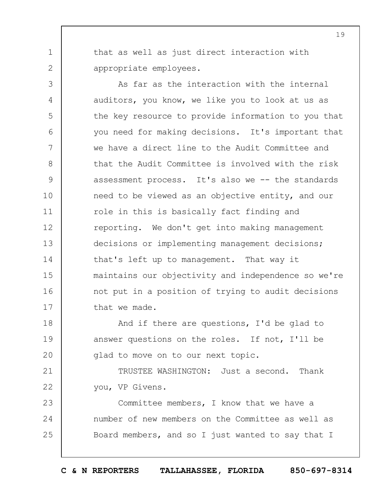that as well as just direct interaction with appropriate employees.

1

2

3 4 5 6 7 8 9 10 11 12 13 14 15 16 17 As far as the interaction with the internal auditors, you know, we like you to look at us as the key resource to provide information to you that you need for making decisions. It's important that we have a direct line to the Audit Committee and that the Audit Committee is involved with the risk assessment process. It's also we -- the standards need to be viewed as an objective entity, and our role in this is basically fact finding and reporting. We don't get into making management decisions or implementing management decisions; that's left up to management. That way it maintains our objectivity and independence so we're not put in a position of trying to audit decisions that we made.

18 19  $20$ And if there are questions, I'd be glad to answer questions on the roles. If not, I'll be glad to move on to our next topic.

21 22 TRUSTEE WASHINGTON: Just a second. Thank you, VP Givens.

23 24 25 Committee members, I know that we have a number of new members on the Committee as well as Board members, and so I just wanted to say that I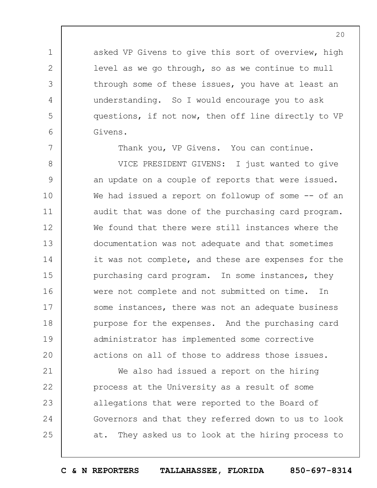asked VP Givens to give this sort of overview, high level as we go through, so as we continue to mull through some of these issues, you have at least an understanding. So I would encourage you to ask questions, if not now, then off line directly to VP Givens.

1

2

3

4

5

6

7

Thank you, VP Givens. You can continue.

8 9 10 11 12 13 14 15 16 17 18 19  $20$ VICE PRESIDENT GIVENS: I just wanted to give an update on a couple of reports that were issued. We had issued a report on followup of some -- of an audit that was done of the purchasing card program. We found that there were still instances where the documentation was not adequate and that sometimes it was not complete, and these are expenses for the purchasing card program. In some instances, they were not complete and not submitted on time. In some instances, there was not an adequate business purpose for the expenses. And the purchasing card administrator has implemented some corrective actions on all of those to address those issues.

21 22 23 24 25 We also had issued a report on the hiring process at the University as a result of some allegations that were reported to the Board of Governors and that they referred down to us to look at. They asked us to look at the hiring process to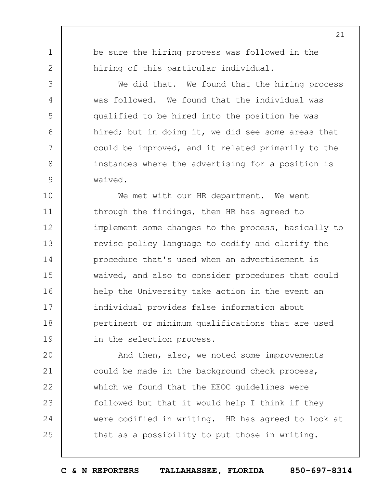1

2

3

4

5

6

7

8

9

be sure the hiring process was followed in the hiring of this particular individual.

We did that. We found that the hiring process was followed. We found that the individual was qualified to be hired into the position he was hired; but in doing it, we did see some areas that could be improved, and it related primarily to the instances where the advertising for a position is waived.

10 11 12 13 14 15 16 17 18 19 We met with our HR department. We went through the findings, then HR has agreed to implement some changes to the process, basically to revise policy language to codify and clarify the procedure that's used when an advertisement is waived, and also to consider procedures that could help the University take action in the event an individual provides false information about pertinent or minimum qualifications that are used in the selection process.

 $20$ 21 22 23 24 25 And then, also, we noted some improvements could be made in the background check process, which we found that the EEOC guidelines were followed but that it would help I think if they were codified in writing. HR has agreed to look at that as a possibility to put those in writing.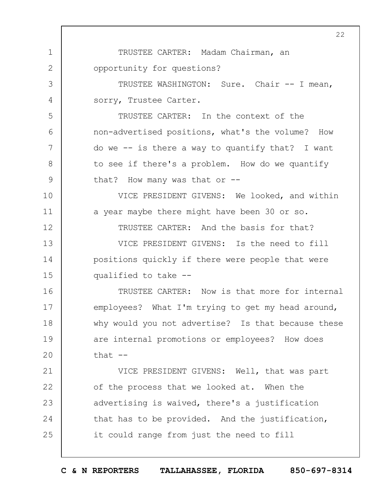1 2 3 4 5 6 7 8 9 10 11 12 13 14 15 16 17 18 19  $20$ 21 22 23 24 25 22 TRUSTEE CARTER: Madam Chairman, an opportunity for questions? TRUSTEE WASHINGTON: Sure. Chair -- I mean, sorry, Trustee Carter. TRUSTEE CARTER: In the context of the non-advertised positions, what's the volume? How do we -- is there a way to quantify that? I want to see if there's a problem. How do we quantify that? How many was that or --VICE PRESIDENT GIVENS: We looked, and within a year maybe there might have been 30 or so. TRUSTEE CARTER: And the basis for that? VICE PRESIDENT GIVENS: Is the need to fill positions quickly if there were people that were qualified to take -- TRUSTEE CARTER: Now is that more for internal employees? What I'm trying to get my head around, why would you not advertise? Is that because these are internal promotions or employees? How does that  $--$ VICE PRESIDENT GIVENS: Well, that was part of the process that we looked at. When the advertising is waived, there's a justification that has to be provided. And the justification, it could range from just the need to fill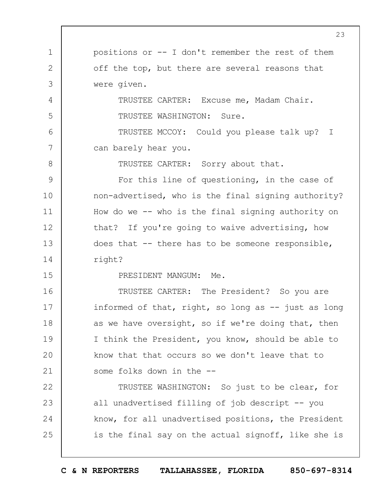1 2 3 4 5 6 7 8 9 10 11 12 13 14 15 16 17 18 19  $20$ 21 22 23 24 25 23 positions or -- I don't remember the rest of them off the top, but there are several reasons that were given. TRUSTEE CARTER: Excuse me, Madam Chair. TRUSTEE WASHINGTON: Sure. TRUSTEE MCCOY: Could you please talk up? I can barely hear you. TRUSTEE CARTER: Sorry about that. For this line of questioning, in the case of non-advertised, who is the final signing authority? How do we -- who is the final signing authority on that? If you're going to waive advertising, how does that -- there has to be someone responsible, right? PRESIDENT MANGUM: Me. TRUSTEE CARTER: The President? So you are informed of that, right, so long as -- just as long as we have oversight, so if we're doing that, then I think the President, you know, should be able to know that that occurs so we don't leave that to some folks down in the -- TRUSTEE WASHINGTON: So just to be clear, for all unadvertised filling of job descript -- you know, for all unadvertised positions, the President is the final say on the actual signoff, like she is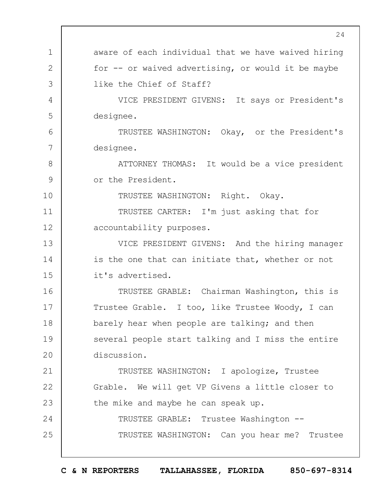1 2 3 4 5 6 7 8 9 10 11 12 13 14 15 16 17 18 19  $20$ 21 22 23 24 25 24 aware of each individual that we have waived hiring for  $-$  or waived advertising, or would it be maybe like the Chief of Staff? VICE PRESIDENT GIVENS: It says or President's designee. TRUSTEE WASHINGTON: Okay, or the President's designee. ATTORNEY THOMAS: It would be a vice president or the President. TRUSTEE WASHINGTON: Right. Okay. TRUSTEE CARTER: I'm just asking that for accountability purposes. VICE PRESIDENT GIVENS: And the hiring manager is the one that can initiate that, whether or not it's advertised. TRUSTEE GRABLE: Chairman Washington, this is Trustee Grable. I too, like Trustee Woody, I can barely hear when people are talking; and then several people start talking and I miss the entire discussion. TRUSTEE WASHINGTON: I apologize, Trustee Grable. We will get VP Givens a little closer to the mike and maybe he can speak up. TRUSTEE GRABLE: Trustee Washington -- TRUSTEE WASHINGTON: Can you hear me? Trustee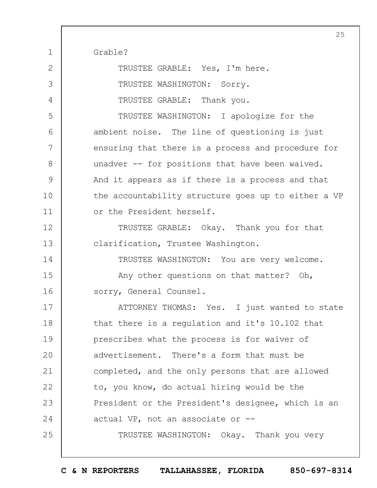| $\mathbf 1$    | Grable?                                             |
|----------------|-----------------------------------------------------|
| $\overline{2}$ | TRUSTEE GRABLE: Yes, I'm here.                      |
| 3              | TRUSTEE WASHINGTON: Sorry.                          |
| 4              | TRUSTEE GRABLE: Thank you.                          |
| 5              | TRUSTEE WASHINGTON: I apologize for the             |
| 6              | ambient noise. The line of questioning is just      |
| 7              | ensuring that there is a process and procedure for  |
| 8              | unadver -- for positions that have been waived.     |
| 9              | And it appears as if there is a process and that    |
| 10             | the accountability structure goes up to either a VP |
| 11             | or the President herself.                           |
| 12             | TRUSTEE GRABLE: Okay. Thank you for that            |
| 13             | clarification, Trustee Washington.                  |
| 14             | TRUSTEE WASHINGTON: You are very welcome.           |
| 15             | Any other questions on that matter? Oh,             |
| 16             | sorry, General Counsel.                             |
| 17             | ATTORNEY THOMAS: Yes. I just wanted to state        |
| 18             | that there is a regulation and it's 10.102 that     |
| 19             | prescribes what the process is for waiver of        |
| 20             | advertisement. There's a form that must be          |
| 21             | completed, and the only persons that are allowed    |
| 22             | to, you know, do actual hiring would be the         |
| 23             | President or the President's designee, which is an  |
| 24             | actual VP, not an associate or --                   |
| 25             | TRUSTEE WASHINGTON: Okay. Thank you very            |
|                |                                                     |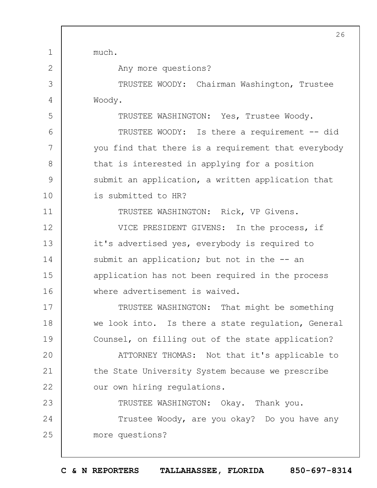1 2 3 4 5 6 7 8 9 10 11 12 13 14 15 16 17 18 19  $20$ 21 22 23 24 25 26 much. Any more questions? TRUSTEE WOODY: Chairman Washington, Trustee Woody. TRUSTEE WASHINGTON: Yes, Trustee Woody. TRUSTEE WOODY: Is there a requirement -- did you find that there is a requirement that everybody that is interested in applying for a position submit an application, a written application that is submitted to HR? TRUSTEE WASHINGTON: Rick, VP Givens. VICE PRESIDENT GIVENS: In the process, if it's advertised yes, everybody is required to submit an application; but not in the -- an application has not been required in the process where advertisement is waived. TRUSTEE WASHINGTON: That might be something we look into. Is there a state regulation, General Counsel, on filling out of the state application? ATTORNEY THOMAS: Not that it's applicable to the State University System because we prescribe our own hiring regulations. TRUSTEE WASHINGTON: Okay. Thank you. Trustee Woody, are you okay? Do you have any more questions?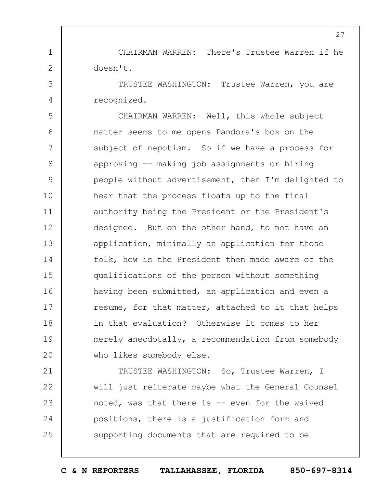CHAIRMAN WARREN: There's Trustee Warren if he doesn't.

1

2

3

4

TRUSTEE WASHINGTON: Trustee Warren, you are recognized.

5 6 7 8 9 10 11 12 13 14 15 16 17 18 19  $20$ CHAIRMAN WARREN: Well, this whole subject matter seems to me opens Pandora's box on the subject of nepotism. So if we have a process for approving -- making job assignments or hiring people without advertisement, then I'm delighted to hear that the process floats up to the final authority being the President or the President's designee. But on the other hand, to not have an application, minimally an application for those folk, how is the President then made aware of the qualifications of the person without something having been submitted, an application and even a resume, for that matter, attached to it that helps in that evaluation? Otherwise it comes to her merely anecdotally, a recommendation from somebody who likes somebody else.

21 22 23 24 25 TRUSTEE WASHINGTON: So, Trustee Warren, I will just reiterate maybe what the General Counsel noted, was that there is -- even for the waived positions, there is a justification form and supporting documents that are required to be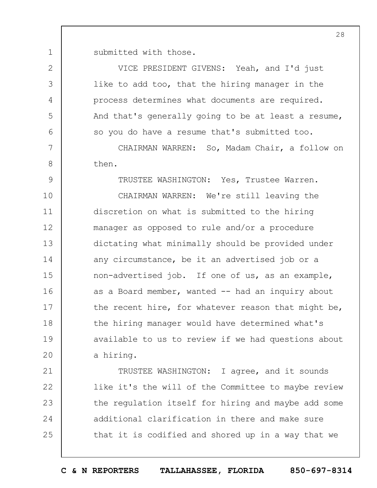1 submitted with those.

24

25

| $\mathbf{2}$ | VICE PRESIDENT GIVENS: Yeah, and I'd just           |
|--------------|-----------------------------------------------------|
| 3            | like to add too, that the hiring manager in the     |
| 4            | process determines what documents are required.     |
| 5            | And that's generally going to be at least a resume, |
| 6            | so you do have a resume that's submitted too.       |
| 7            | CHAIRMAN WARREN: So, Madam Chair, a follow on       |
| 8            | then.                                               |
| 9            | TRUSTEE WASHINGTON: Yes, Trustee Warren.            |
| 10           | CHAIRMAN WARREN: We're still leaving the            |
| 11           | discretion on what is submitted to the hiring       |
| 12           | manager as opposed to rule and/or a procedure       |
| 13           | dictating what minimally should be provided under   |
| 14           | any circumstance, be it an advertised job or a      |
| 15           | non-advertised job. If one of us, as an example,    |
| 16           | as a Board member, wanted -- had an inquiry about   |
| 17           | the recent hire, for whatever reason that might be, |
| 18           | the hiring manager would have determined what's     |
| 19           | available to us to review if we had questions about |
| 20           | a hiring.                                           |
| 21           | I agree, and it sounds<br>TRUSTEE WASHINGTON:       |
| 22           | like it's the will of the Committee to maybe review |
| 23           | the regulation itself for hiring and maybe add some |

that it is codified and shored up in a way that we

additional clarification in there and make sure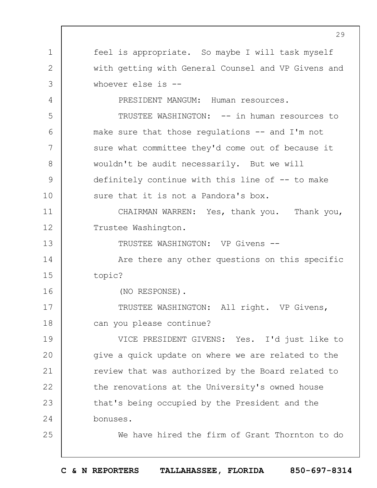1 2 3 4 5 6 7 8 9 10 11 12 13 14 15 16 17 18 19  $20$ 21 22 23 24 25 29 feel is appropriate. So maybe I will task myself with getting with General Counsel and VP Givens and whoever else is --PRESIDENT MANGUM: Human resources. TRUSTEE WASHINGTON: -- in human resources to make sure that those regulations -- and I'm not sure what committee they'd come out of because it wouldn't be audit necessarily. But we will definitely continue with this line of -- to make sure that it is not a Pandora's box. CHAIRMAN WARREN: Yes, thank you. Thank you, Trustee Washington. TRUSTEE WASHINGTON: VP Givens -- Are there any other questions on this specific topic? (NO RESPONSE). TRUSTEE WASHINGTON: All right. VP Givens, can you please continue? VICE PRESIDENT GIVENS: Yes. I'd just like to give a quick update on where we are related to the review that was authorized by the Board related to the renovations at the University's owned house that's being occupied by the President and the bonuses. We have hired the firm of Grant Thornton to do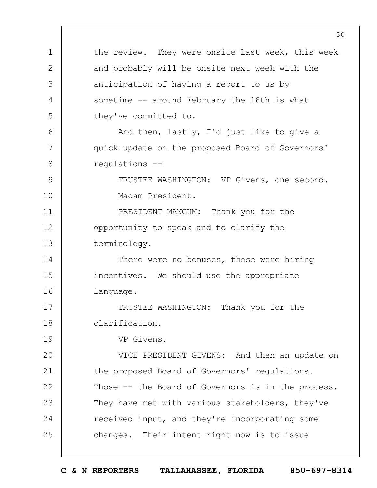1 2 3 4 5 6 7 8 9 10 11 12 13 14 15 16 17 18 19  $20$ 21 22 23 24 25 the review. They were onsite last week, this week and probably will be onsite next week with the anticipation of having a report to us by sometime -- around February the 16th is what they've committed to. And then, lastly, I'd just like to give a quick update on the proposed Board of Governors' regulations -- TRUSTEE WASHINGTON: VP Givens, one second. Madam President. PRESIDENT MANGUM: Thank you for the opportunity to speak and to clarify the terminology. There were no bonuses, those were hiring incentives. We should use the appropriate language. TRUSTEE WASHINGTON: Thank you for the clarification. VP Givens. VICE PRESIDENT GIVENS: And then an update on the proposed Board of Governors' regulations. Those -- the Board of Governors is in the process. They have met with various stakeholders, they've received input, and they're incorporating some changes. Their intent right now is to issue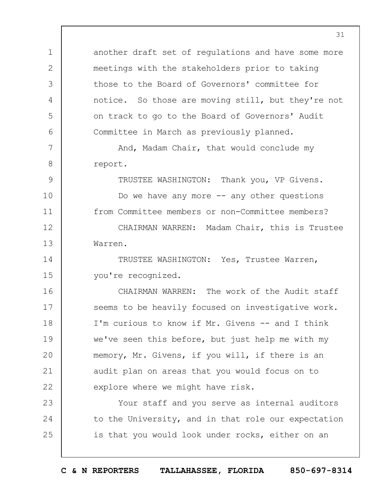another draft set of regulations and have some more meetings with the stakeholders prior to taking those to the Board of Governors' committee for notice. So those are moving still, but they're not on track to go to the Board of Governors' Audit Committee in March as previously planned.

And, Madam Chair, that would conclude my report.

1

2

3

4

5

6

7

8

9

10

11

TRUSTEE WASHINGTON: Thank you, VP Givens.

from Committee members or non-Committee members?

Do we have any more  $--$  any other questions

12 13 CHAIRMAN WARREN: Madam Chair, this is Trustee Warren.

14 15 TRUSTEE WASHINGTON: Yes, Trustee Warren, you're recognized.

16 17 18 19  $20$ 21 22 CHAIRMAN WARREN: The work of the Audit staff seems to be heavily focused on investigative work. I'm curious to know if Mr. Givens -- and I think we've seen this before, but just help me with my memory, Mr. Givens, if you will, if there is an audit plan on areas that you would focus on to explore where we might have risk.

23 24 25 Your staff and you serve as internal auditors to the University, and in that role our expectation is that you would look under rocks, either on an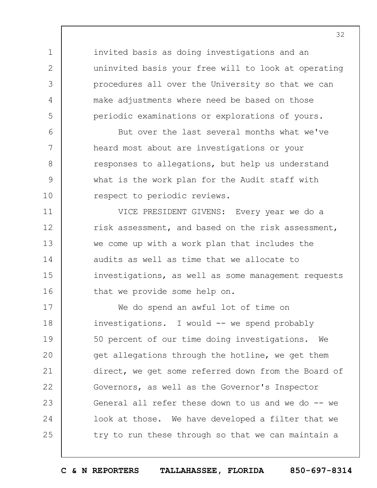invited basis as doing investigations and an uninvited basis your free will to look at operating procedures all over the University so that we can make adjustments where need be based on those periodic examinations or explorations of yours.

1

2

3

4

5

6

7

8

9

10

But over the last several months what we've heard most about are investigations or your responses to allegations, but help us understand what is the work plan for the Audit staff with respect to periodic reviews.

11 12 13 14 15 16 VICE PRESIDENT GIVENS: Every year we do a risk assessment, and based on the risk assessment, we come up with a work plan that includes the audits as well as time that we allocate to investigations, as well as some management requests that we provide some help on.

17 18 19  $20$ 21 22 23 24 25 We do spend an awful lot of time on investigations. I would -- we spend probably 50 percent of our time doing investigations. We get allegations through the hotline, we get them direct, we get some referred down from the Board of Governors, as well as the Governor's Inspector General all refer these down to us and we do -- we look at those. We have developed a filter that we try to run these through so that we can maintain a

32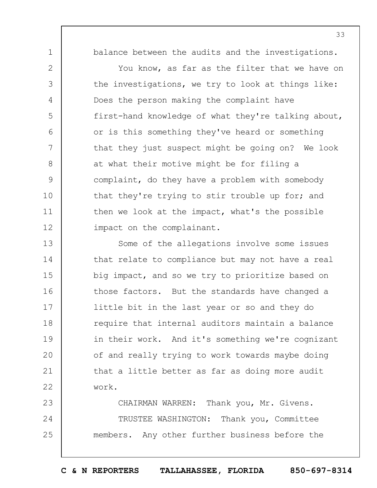balance between the audits and the investigations.

1

2

3

4

5

6

7

8

9

10

11

12

You know, as far as the filter that we have on the investigations, we try to look at things like: Does the person making the complaint have first-hand knowledge of what they're talking about, or is this something they've heard or something that they just suspect might be going on? We look at what their motive might be for filing a complaint, do they have a problem with somebody that they're trying to stir trouble up for; and then we look at the impact, what's the possible impact on the complainant.

13 14 15 16 17 18 19  $20$ 21 22 Some of the allegations involve some issues that relate to compliance but may not have a real big impact, and so we try to prioritize based on those factors. But the standards have changed a little bit in the last year or so and they do require that internal auditors maintain a balance in their work. And it's something we're cognizant of and really trying to work towards maybe doing that a little better as far as doing more audit work.

23 24 25 CHAIRMAN WARREN: Thank you, Mr. Givens. TRUSTEE WASHINGTON: Thank you, Committee members. Any other further business before the 33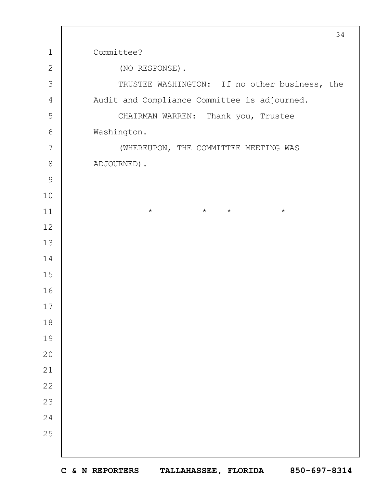|                | 34                                            |
|----------------|-----------------------------------------------|
| $\mathbf 1$    | Committee?                                    |
| $\mathbf{2}$   | (NO RESPONSE).                                |
| 3              | TRUSTEE WASHINGTON: If no other business, the |
| $\overline{4}$ | Audit and Compliance Committee is adjourned.  |
| 5              | CHAIRMAN WARREN: Thank you, Trustee           |
| $\sqrt{6}$     | Washington.                                   |
| $\overline{7}$ | (WHEREUPON, THE COMMITTEE MEETING WAS         |
| $\,8\,$        | ADJOURNED).                                   |
| $\mathsf 9$    |                                               |
| 10             |                                               |
| 11             | $\star$ $\star$<br>$\star$<br>$\star$         |
| 12             |                                               |
| 13             |                                               |
| 14             |                                               |
| 15             |                                               |
| 16             |                                               |
| 17             |                                               |
| $1\,8$         |                                               |
| 19             |                                               |
| 20             |                                               |
| 21             |                                               |
| 22             |                                               |
| 23             |                                               |
| 24             |                                               |
| 25             |                                               |
|                |                                               |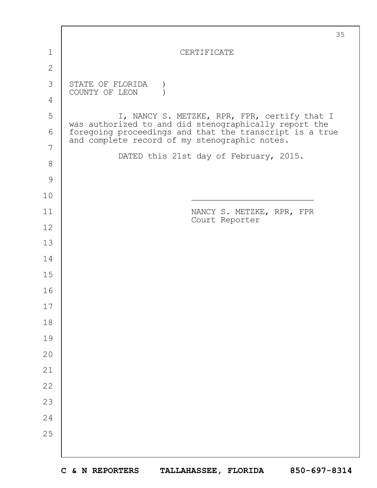|               | 35                                                                                                                                                                |
|---------------|-------------------------------------------------------------------------------------------------------------------------------------------------------------------|
| 1             | CERTIFICATE                                                                                                                                                       |
| $\mathbf{2}$  |                                                                                                                                                                   |
| 3             | STATE OF FLORIDA                                                                                                                                                  |
| 4             | COUNTY OF LEON                                                                                                                                                    |
| 5             | I, NANCY S. METZKE, RPR, FPR, certify that I                                                                                                                      |
| 6             | was authorized to and did stenographically report the<br>foregoing proceedings and that the transcript is a true<br>and complete record of my stenographic notes. |
| 7             |                                                                                                                                                                   |
| $8\,$         | DATED this 21st day of February, 2015.                                                                                                                            |
| $\mathcal{G}$ |                                                                                                                                                                   |
| 10            |                                                                                                                                                                   |
| 11            | NANCY S. METZKE, RPR, FPR<br>Court Reporter                                                                                                                       |
| 12            |                                                                                                                                                                   |
| 13            |                                                                                                                                                                   |
| 14            |                                                                                                                                                                   |
| 15            |                                                                                                                                                                   |
| 16            |                                                                                                                                                                   |
| 17            |                                                                                                                                                                   |
| 18            |                                                                                                                                                                   |
| 19            |                                                                                                                                                                   |
| 20            |                                                                                                                                                                   |
| 21            |                                                                                                                                                                   |
| 22            |                                                                                                                                                                   |
| 23            |                                                                                                                                                                   |
| 24            |                                                                                                                                                                   |
| 25            |                                                                                                                                                                   |
|               |                                                                                                                                                                   |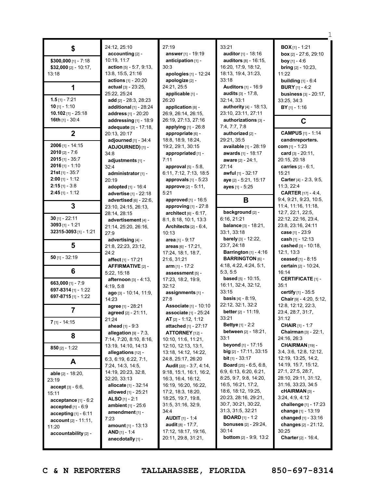|                               | 24:12, 25:10                 | 27:19                             | 33:21                            | <b>BOX</b> $[1]$ - 1:21      |
|-------------------------------|------------------------------|-----------------------------------|----------------------------------|------------------------------|
| \$                            | accounting [2] -             | answer [1] - 19:19                | auditor [1] - 18:16              | box $[2] - 27:6, 29:10$      |
|                               |                              |                                   |                                  |                              |
| \$300,000 [1] - 7:18          | 10:19, 11:7                  | anticipation [1] -                | <b>auditors</b> [8] - 16:15,     | <b>boy</b> [1] - 4:6         |
| $$32,000$ [2] - 10:17,        | action $[5] - 5:7, 9:13$ ,   | 30:3                              | 16:20, 17:9, 18:12,              | <b>bring</b> $[2] - 10:23$ , |
| 13:18                         | 13:8, 15:5, 21:16            | apologies $[1] - 12:24$           | 18:13, 19:4, 31:23,              | 11:22                        |
|                               | <b>actions</b> $[1]$ - 20:20 | apologize [2] -                   | 33:18                            | building $[1]$ - $6:4$       |
| 1                             | actual [3] - 23:25,          | 24:21, 25:5                       | <b>Auditors</b> [1] - 16:9       | <b>BURY</b> $[1] - 4:2$      |
|                               | 25:22, 25:24                 | applicable [1] -                  | audits [3] - 17:8,               | <b>business</b> [3] - 20:17, |
| $1.5$ [1] - 7:21              | add [2] - 28:3, 28:23        | 26:20                             | 32:14, 33:1                      | 33:25, 34:3                  |
| $10$ [1] - 1:10               | additional $[1]$ - 28:24     | application [8] -                 | <b>authority</b> $[4] - 18:13$ , | $BY$ [1] - 1:16              |
| 10.102 $[1] - 25:18$          | address [1] - 20:20          | 26:9, 26:14, 26:15,               | 23:10, 23:11, 27:11              |                              |
| 16th $[1] - 30:4$             | addressing [1] - 18:9        | 26:19, 27:13, 27:16               | authorizations [3] -             | C                            |
|                               | adequate [3] - 17:18,        | <b>applying</b> $[1] - 26:8$      | 7:4, 7:7, 7:8                    |                              |
| $\mathbf{2}$                  | 20:13, 20:17                 | appropriate [6] -                 | authorized [2] -                 | <b>CAMPUS</b> [1] - 1:14     |
|                               | adjourned [1] - 34:4         | 18:8, 18:9, 18:24,                | 29:21, 35:5                      | candnreporters.              |
| 2006 [1] - 14:15              | ADJOURNED) [1] -             | 19:2, 29:1, 30:15                 | available [1] - 28:19            | com $[1] - 1:23$             |
| $2010$ [2] - 7:6              | 34:8                         | appropriated [1] -                | awards [1] - 18:17               | card [3] - 20:11,            |
| $2015$ [1] - 35:7             | adjustments [1] -            | 7:11                              | aware [2] - 24:1,                | 20:15, 20:18                 |
| $2016$ [1] - 1:10             | 32:4                         | approval $[5]$ - 5:8,             | 27:14                            | carries [2] - 6:1,           |
| $21st$ [1] - 35:7             | administrator [1] -          | 6:11, 7:12, 7:13, 18:5            | awful [1] - 32:17                | 15:21                        |
| $2:00$ [1] - 1:12             | 20:19                        | approvals $[1]$ - 5:23            | aye [2] - 5:21, 15:17            | Carter [4] - 2:3, 9:5,       |
| $2:15$ [1] - 3:8              | adopted [1] - 16:4           | <b>approve</b> [2] - 5:11,        | ayes [1] - 5:25                  | 11:3, 22:4                   |
| $2:45$ [1] - 1:12             | advertise [1] - 22:18        | 5:21                              |                                  | <b>CARTER</b> $[17] - 4:4$ , |
|                               | advertised [6] - 22:6,       | approved [1] - 16:5               | B                                | 9:4, 9:21, 9:23, 10:5,       |
| 3                             | 23:10, 24:15, 26:13,         | approving $[1]$ - 27:8            |                                  | 11:4, 11:16, 11:18,          |
|                               | 28:14, 28:15                 | architect $[6] - 6:17$ ,          | background [2] -                 | 12:7, 22:1, 22:5,            |
| $30$ [1] - 22:11              | advertisement [4] -          | 8:1, 8:18, 10:1, 13:3             | 6:16, 21:21                      | 22:12, 22:16, 23:4,          |
| $3093$ [1] - 1:21             | 21:14, 25:20, 26:16,         | Architects $[2] - 6:4$ ,          | <b>balance</b> [3] - 18:21,      | 23:8, 23:16, 24:11           |
| 32315-3093 [1] - 1:21         | 27.9                         | 10:13                             | 33:1, 33:18                      | case $[1] - 23:9$            |
|                               | advertising [4] -            | area $[1] - 9:17$                 | barely [3] - 12:22,              | cash $[1] - 12:13$           |
| 5                             | 21:8, 22:23, 23:12,          | areas [6] - 17:21,                | 23:7, 24:18                      | cashed [3] - 10:18,          |
|                               | 24:2                         | 17:24, 18:1, 18:7,                | <b>Barrington</b> $[1] - 4:16$   | 12:1, 13:3                   |
| $50$ [1] - 32:19              | affect [1] - 17:21           | 21:6, 31:21                       | <b>BARRINGTON [6] -</b>          | ceased [1] - 8:15            |
|                               | <b>AFFIRMATIVE [2] -</b>     | $arm_{[1]} - 17:2$                | 4:18, 4:22, 4:24, 5:1,           | certain [2] - 10:24,         |
| 6                             | 5:22, 15:18                  | assessment [5] -                  | 5:3, 5:5                         | 16:14                        |
|                               | afternoon [3] - 4:13,        | 17:23, 18:2, 19:9,                | <b>based</b> $[5] - 10:15$ ,     | <b>CERTIFICATE [1] -</b>     |
| 663,000 $[1] - 7:9$           |                              | 32:12                             | 16:11, 32:4, 32:12,              | 35:1                         |
| 697-8314 [1] - 1:22           | 4:19, 5:8                    |                                   | 33:15                            | certify [1] - 35:5           |
| 697-8715 [1] - 1:22           | ago [3] - 10:14, 11:9,       | assignments [1] -                 | <b>basis</b> $[4] - 8:19$ ,      |                              |
|                               | 14:23                        | 27:8                              | 22:12, 32:1, 32:2                | Chair $[9] - 4:20, 5:12,$    |
| 7                             | agree [1] - 28:21            | <b>Associate</b> [1] - 10:10      | <b>better</b> $[2] - 11:19$ ,    | 12:8, 12:12, 22:3,           |
|                               | agreed [2] - 21:11,          | <b>associate</b> $[1]$ - 25:24    | 33:21                            | 23:4, 28:7, 31:7,<br>31:12   |
| $7$ [1] - 14:15               | 21:24                        | <b>AT</b> $[2] - 1:12, 1:12$      | <b>Bettye</b> $[1] - 2:2$        |                              |
|                               | <b>ahead</b> $[1] - 9:3$     | attached [1] - 27:17              |                                  | <b>CHAIR</b> $[1] - 1:7$     |
| 8                             | allegation [9] - 7:3,        | ATTORNEY [12] -                   | <b>between</b> [2] - 18:21,      | Chairman [3] - 22:1,         |
|                               | 7:14, 7:20, 8:10, 8:16,      | 10:10, 11:6, 11:21,               | 33:1                             | 24:16, 26:3                  |
| 850 $[2] - 1:22$              | 13:19, 14:10, 14:13          | 12:10, 12:13, 13:1,               | <b>beyond</b> $[1] - 17:15$      | CHAIRMAN [19] -              |
|                               | allegations [12] -           | 13:18, 14:12, 14:22,              | big $[2] - 17:11, 33:15$         | 3:4, 3:6, 12:8, 12:12,       |
| A                             | 6:3, 6:19, 6:22, 7:1,        | 24:8, 25:17, 26:20                | <b>bit</b> $[1]$ - 33:17         | 12:19, 13:25, 14:2,          |
|                               | 7:24, 14:3, 14:5,            | <b>Audit</b> [22] - $3:7, 4:14$ , | <b>Board</b> [25] - $6:5, 6:8$ , | 14:19, 15:7, 15:12,          |
| <b>able</b> $[2] - 18:20$ ,   | 14:19, 20:23, 32:8,          | 9:18, 15:1, 16:1, 16:2,           | 6:9, 6:13, 6:20, 6:21,           | 27:1, 27:5, 28:7,            |
| 23:19                         | 32:20, 33:13                 | 16:3, 16:4, 16:12,                | 8:25, 9:7, 9:8, 14:20,           | 28:10, 29:11, 31:12,         |
| $accept[3] - 6:6,$            | <b>allocate</b> [1] - 32:14  | 16:19, 16:20, 16:22,              | 16:5, 16:21, 17:2,               | 31:16, 33:23, 34:5           |
| 15:11                         | <b>allowed</b> [1] - 25:21   | 17:2, 18:3, 18:20,                | 18:6, 18:12, 19:25,              | <b>CHAIRMAN</b> [3] -        |
| $acceptance$ [1] - 6:2        | <b>ALSO</b> [1] - 2:1        | 18:25, 19:7, 19:8,                | 20:23, 28:16, 29:21,             | 3:24, 4:9, 4:12              |
| accepted $[1] - 6.9$          | <b>ambient</b> $[1] - 25:6$  | 31:5, 31:16, 32:9,                | 30:7, 30:21, 30:22,              | challenge [1] - 17:23        |
| accepting $[1] - 6:11$        | amendment [1] -              | 34:4                              | 31:3, 31:5, 32:21                | change [1] - 13:19           |
| <b>account</b> $[2] - 11:11,$ | 7:23                         | <b>AUDIT</b> $[1] - 1:4$          | <b>BOARD</b> $[1] - 1:2$         | changed $[1] - 33:16$        |
| 11:20                         | <b>amount</b> $[1] - 13:13$  | <b>audit</b> $[8] - 17:7,$        | <b>bonuses</b> $[2] - 29:24$ ,   | changes [2] - 21:12,         |
| accountability [2] -          | AND $[1] - 1:4$              | 17:12, 18:17, 19:16,              | 30:14                            | 30:25                        |
|                               | anecdotally [1] -            | 20:11, 29:8, 31:21,               | <b>bottom</b> $[2] - 9:9, 13:2$  | Charter [2] - 16:4,          |
|                               |                              |                                   |                                  |                              |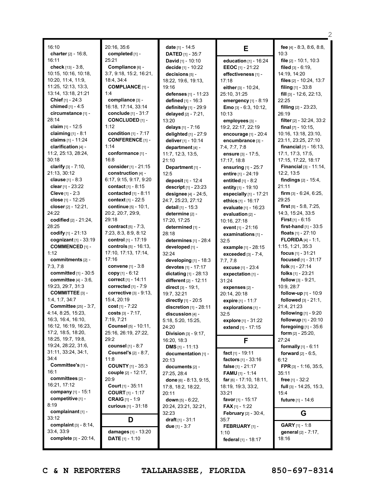| 16:10                                      | 20:16, 35:6                           | date [1] - 14:5                         | Е                                                      | fee $[4]$ - 8:3, 8:6, 8:8,         |
|--------------------------------------------|---------------------------------------|-----------------------------------------|--------------------------------------------------------|------------------------------------|
| charter $[2] - 16:8$ ,                     | completed [1] -                       | <b>DATED</b> $[1] - 35:7$               |                                                        | 10:3                               |
| 16:11                                      | 25:21                                 | <b>David</b> $[1] - 10:10$              | education [1] - 16:24                                  | file $[2] - 10:1, 10:3$            |
| check [13] - 3:8,                          | Compliance [6] -                      | decide [1] - 10:22                      | <b>EEOC</b> [1] - 21:22                                | filed $[3] - 6:19$ ,               |
| 10:15, 10:16, 10:18,                       | 3:7, 9:18, 15:2, 16:21,               | decisions [5] -                         | effectiveness [1] -                                    | 14:19, 14:20                       |
| 10:20, 11:4, 11:9,<br>11:25, 12:13, 13:3,  | 18:4, 34:4<br><b>COMPLIANCE [1] -</b> | 18:22, 19:6, 19:13,<br>19:16            | 17:18                                                  | files [2] - 10:24, 13:7            |
| 13:14, 13:18, 21:21                        | 1:4                                   | defenses [1] - 11:23                    | either [3] - 10:24,                                    | filing $[1]$ - 33:8                |
| Chief [1] - 24:3                           | compliance [3] -                      | defined [1] - 16:3                      | 25:10, 31:25                                           | fill $[3]$ - 12:6, 22:13,<br>22:25 |
| chimed [1] - 4:5                           | 16:18, 17:14, 33:14                   | definitely [1] - 29:9                   | emergency [1] - 8:19<br><b>Emo</b> $[3] - 6:3, 10:12,$ | filling [2] - 23:23,               |
| circumstance [1] -                         | conclude [1] - 31:7                   | delayed [2] - 7:21,                     | 10:13                                                  | 26:19                              |
| 28:14                                      | <b>CONCLUDED [1] -</b>                | 13:20                                   | employees [3] -                                        | filter [2] - 32:24, 33:2           |
| claim $[1] - 12:5$                         | 1:12                                  | delays [1] - 7:16                       | 19:2, 22:17, 22:19                                     | <b>final</b> $[7] - 10:15$ ,       |
| claiming $[1] - 8:1$                       | condition $[1]$ - $7:17$              | delighted $[1]$ - 27:9                  | encourage [1] - 20:4                                   | 10:16, 13:18, 23:10,               |
| claims [1] - 11:24                         | <b>CONFERENCE</b> [1] -               | deliver [1] - 10:14                     | encumbrance [3] -                                      | 23:11, 23:25, 27:10                |
| clarification [4] -                        | 1:14                                  | department [4] -                        | 7:4, 7:7, 7:8                                          | financial [7] - 16:13,             |
| 11:2, 25:13, 28:24,                        | conformance [1] -                     | 11:7, 12:3, 13:5,                       | ensure [3] - 17:5,                                     | 17:1, 17:3, 17:5,                  |
| 30:18                                      | 16:8                                  | 21:10                                   | 17:17, 18:8                                            | 17:15, 17:22, 18:17                |
| clarify [3] - 7:10,                        | consider $[1] - 21:15$                | Department [1] -                        | ensuring $[1]$ - 25:7                                  | Financial [3] - 11:14,             |
| 21:13, 30:12                               | construction [4] -                    | 12:5                                    | entire $[1] - 24:19$                                   | 12:2, 13:5                         |
| clause $[1] - 8:3$                         | 6:17, 9:15, 9:17, 9:20                | deposit [1] - 12:4                      | entitled $[1] - 8:2$                                   | <b>findings</b> $[2] - 15:4$ ,     |
| clear $[1]$ - 23:22                        | contact [1] - 8:15                    | descript [1] - 23:23                    | entity [1] - 19:10                                     | 21:11                              |
| Cleve $[1] - 2:3$                          | contacted $[1] - 8:11$                | designee [4] - 24:5,                    | especially [1] - 17:21                                 | firm [3] - 6:24, 6:25,             |
| close [1] - 12:25                          | context [1] - 22:5                    | 24:7, 25:23, 27:12                      | ethics $[1] - 16:17$                                   | 29:25                              |
| closer [2] - 12:21,                        | continue [5] - 10:1,                  | detail [1] - 15:3                       | evaluate [1] - 16:23                                   | first [5] - 5:8, 7:25,             |
| 24:22                                      | 20:2, 20:7, 29:9,                     | determine [2] -                         | evaluation [2] -                                       | 14:3, 15:24, 33:5                  |
| codified [2] - 21:24,                      | 29:18                                 | 17:20, 17:25                            | 10:16, 27:18                                           | <b>First</b> [1] - 6:15            |
| 28:25                                      | contract $[5] - 7:3$ ,                | determined [1] -                        | event [1] - 21:16                                      | <b>first-hand</b> $[1] - 33:5$     |
| codify $[1] - 21:13$                       | 7:23, 8:3, 8:9, 8:12                  | 28:18                                   | examinations [1] -                                     | floats $[1] - 27:10$               |
| cognizant [1] - 33:19                      | control [1] - 17:19                   | determines [1] - 28:4                   | 32:5                                                   | $FLORIDA[4] - 1:1,$                |
| <b>COMMENCED [1] -</b>                     | controls [5] - 16:13,                 | developed [1] -                         | example [1] - 28:15                                    | 1:15, 1:21, 35:3                   |
| 1:12                                       | 17:10, 17:13, 17:14,                  | 32:24                                   | exceeded $[3] - 7:4$ ,                                 | focus $[1] - 31:21$                |
| commitments [2] -                          | 17:16                                 | developing $[1]$ - 18:3                 | 7:7,7:8                                                | <b>focused</b> $[1] - 31:17$       |
| 7:3, 7:8                                   | <b>convene</b> $[1] - 3:8$            | devotes [1] - 17:17                     | excuse [1] - 23:4                                      | <b>folk</b> [1] - $27:14$          |
| committed $[1]$ - 30:5                     | copy $[1] - 6:12$                     | dictating $[1] - 28:13$                 | expectation [1] -                                      | folks [1] - 23:21                  |
| committee $[4] - 3:6$ ,                    | correct <sub>[1]</sub> - 14:11        | different [2] - 12:11                   | 31:24                                                  | follow [3] - 9:21,                 |
| 19:23, 29:7, 31:3                          | corrected $[1] - 7:9$                 | direct [3] - 19:1.                      | expenses [2] -                                         | 10:9.28:7                          |
| <b>COMMITTEE [3] -</b>                     | corrective [3] - 9:13,                | 19:7, 32:21                             | 20:14, 20:18                                           | follow-up $[1]$ - 10:9             |
| 1:4, 1:7, 34:7                             | 15:4, 20:19                           | directly [1] - 20:5                     | expire [1] - 11:7                                      | followed [3] - 21:1,               |
| <b>Committee</b> [25] - 3:7,               | cost [1] - 7:22                       | discretion $[1]$ - 28:11                | explorations [1] -                                     | 21:4, 21:23                        |
| 4:14, 8:25, 15:23,                         | costs $[3] - 7:17$ ,                  | discussion [4] -                        | 32:5                                                   | following [1] - 9:20               |
| 16:3, 16:4, 16:10,<br>16:12, 16:19, 16:23, | 7:19, 7:21                            | 5:18, 5:20, 15:25,                      | explore [1] - 31:22                                    | <b>followup</b> $[1]$ - 20:10      |
| 17:2, 18:5, 18:20,                         | Counsel [5] - 10:11,                  | 24:20                                   | extend [1] - 17:15                                     | foregoing $[1]$ - 35:6             |
| 18:25, 19:7, 19:8,                         | 25:16, 26:19, 27:22,<br>29:2          | <b>Division</b> $[3] - 9:17$ ,          |                                                        | form [2] - 25:20,<br>27:24         |
| 19:24, 28:22, 31:6,                        | <b>counsel</b> [1] - 8:7              | 16:20, 18:3<br><b>DMS</b> $[1] - 11:13$ | F                                                      | <b>formally</b> $[1] - 6:11$       |
| 31:11, 33:24, 34:1,                        | <b>Counsel's [2] - 8:7,</b>           | documentation [1] -                     | fact $[1] - 19:11$                                     | <b>forward</b> $[2] - 6:5$ ,       |
| 34:4                                       | 11:8                                  | 20:13                                   | <b>factors</b> $[1] - 33:16$                           | 6:12                               |
| Committee's [1] -                          | <b>COUNTY</b> [1] - 35:3              | documents [2] -                         | false $[1] - 21:17$                                    | FPR [3] - 1:16, 35:5,              |
| 16:1                                       | <b>couple</b> [2] - 12:17,            | 27:25, 28:4                             | <b>FAMU</b> $[1]$ - 1:14                               | 35:11                              |
| committees [2] -                           | 20:9                                  | done [6] - 8:13, 9:15,                  | far $[6]$ - 17:10, 18:11,                              | free [1] - 32:2                    |
| 16:21, 17:12                               | <b>Court</b> $[1] - 35:11$            | 17:8, 18:2, 18:22,                      | 18:19, 19:3, 33:2,                                     | full $[3]$ - 14:25, 15:3,          |
| company [1] - 15:1                         | <b>COURT</b> [1] - 1:17               | 20:11                                   | 33:21                                                  | 15:4                               |
| competitive [1] -                          | <b>CRAIG</b> [1] - 1:9                | down [5] - 6:22,                        | favor [1] - 15:17                                      | <b>future</b> $[1] - 14:6$         |
| 8:19                                       | curious [1] - 31:18                   | 20:24, 23:21, 32:21,                    | <b>FAX</b> [1] - 1:22                                  |                                    |
| complainant [1] -                          |                                       | 32:23                                   | February [2] - 30:4,                                   | G                                  |
| 33:12                                      | D                                     | draft $[1] - 31:1$                      | 35:7                                                   |                                    |
| complaint $[3] - 8:14$ ,                   |                                       | <b>due</b> $[1] - 3:7$                  | <b>FEBRUARY</b> [1] -                                  | <b>GARY</b> $[1] - 1:8$            |
| 33:4, 33:9                                 | damages [1] - 13:20                   |                                         | 1:10                                                   | general [2] - 7:17,                |
| complete [3] - 20:14,                      | <b>DATE</b> $[1] - 1:10$              |                                         | federal [1] - 18:17                                    | 18:16                              |
|                                            |                                       |                                         |                                                        |                                    |

 $\overline{\phantom{a}}^2$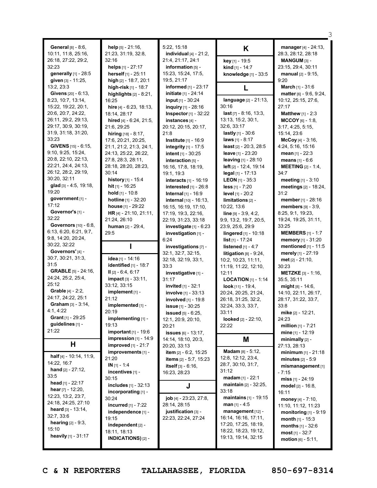| <b>General</b> [8] - 8:6,<br>10:11, 11:8, 25:16,<br>26:18, 27:22, 29:2,<br>32:23<br>generally [1] - 28:5<br>given [3] - 11:25,<br>13:2, 23:3<br><b>Givens</b> $[20] - 6:13$ ,<br>8:23, 10:7, 13:14,<br>15:22, 19:22, 20:1,<br>20:6, 20:7, 24:22,<br>26:11, 29:2, 29:13,   | help [5] - 21:16,<br>21:23, 31:19, 32:8,<br>32:16<br>helps $[1] - 27:17$<br>herself $[1] - 25:11$<br>high [2] - 18:7, 20:1<br>high-risk $[1]$ - 18:7<br>highlights $[2] - 8:21$ ,<br>16:25<br>hire [4] - 6:23, 18:13,<br>18:14, 28:17<br>hired [4] - 6:24, 21:5, | 5:22, 15:18<br>individual $[4]$ - $21:2$ ,<br>21:4, 21:17, 24:1<br>information [5] -<br>15:23, 15:24, 17:5,<br>19:5, 21:17<br><b>informed</b> $[1]$ - 23:17<br><b>initiate</b> [1] - 24:14<br><b>input</b> [1] - 30:24<br><b>inquiry</b> $[1]$ - 28:16<br>Inspector [1] - 32:22<br>instances [4] - | Κ<br>key [1] - 19:5<br>kind [1] - 14:7<br>knowledge [1] - 33:5<br>L<br>language [2] - 21:13,<br>30:16<br>$last$ [7] - 8:16, 13:3,<br>13:13, 15:2, 30:1,                                                                                                                                        | manager [4] - 24:13,<br>28:3, 28:12, 28:18<br>MANGUM [3] -<br>23:15, 29:4, 30:11<br><b>manual</b> $[2] - 9:15$ ,<br>9:20<br><b>March</b> $[1] - 31:6$<br>matter $[6] - 9:6, 9:24,$<br>10:12, 25:15, 27:6,<br>27:17<br><b>Matthew</b> $[1] - 2:3$<br>$MCCOY_{[6]} - 1:8,$                                            |
|---------------------------------------------------------------------------------------------------------------------------------------------------------------------------------------------------------------------------------------------------------------------------|------------------------------------------------------------------------------------------------------------------------------------------------------------------------------------------------------------------------------------------------------------------|----------------------------------------------------------------------------------------------------------------------------------------------------------------------------------------------------------------------------------------------------------------------------------------------------|------------------------------------------------------------------------------------------------------------------------------------------------------------------------------------------------------------------------------------------------------------------------------------------------|---------------------------------------------------------------------------------------------------------------------------------------------------------------------------------------------------------------------------------------------------------------------------------------------------------------------|
| 29:17, 30:9, 30:19,<br>31:9, 31:18, 31:20,<br>33:23<br>GIVENS [15] - 6:15,<br>9:10, 9:25, 15:24,<br>20:8, 22:10, 22:13,<br>22:21, 24:4, 24:13,<br>26:12, 28:2, 29:19,<br>30:20, 32:11<br>glad $[3] - 4:5, 19:18,$                                                         | 21:6, 29:25<br>hiring $[18] - 8:17$ ,<br>17:6, 20:21, 20:25,<br>21:1, 21:2, 21:3, 24:1,<br>24:13, 25:22, 26:22,<br>27:8, 28:3, 28:11,<br>28:18, 28:20, 28:23,<br>30:14<br><b>history</b> [1] - 15:4<br><b>hit</b> [1] - 16:25                                    | 20:12, 20:15, 20:17,<br>21:8<br><b>Institute</b> $[1] - 16:9$<br>integrity [1] - 17:5<br>intent $[1] - 30:25$<br>interaction [5] -<br>16:16, 17:8, 18:19,<br>19:1, 19:3<br><b>interacts</b> [1] - 16:19                                                                                            | 32:6, 33:17<br><b>lastly</b> $[1] - 30:6$<br><b>laws</b> $[1] - 8:17$<br>least $[2] - 20:3, 28:5$<br>leave $[1] - 23:20$<br>leaving $[1] - 28:10$<br><b>left</b> $[2] - 12:4, 19:14$<br>legal $[1]$ - 17:13<br><b>LEON</b> [1] - 35:3<br>$less$ [1] - 7:20                                     | 3:17, 4:25, 5:15,<br>15:14, 23:6<br>$McCoy_{[4]} - 3:16,$<br>4:24, 5:16, 15:16<br><b>mean</b> [1] - 22:3<br><b>means</b> $[1] - 6:6$<br><b>MEETING</b> [2] - 1:4,<br>34:7<br>meeting [1] - 3:10<br>meetings [2] - 18:24,                                                                                            |
| 19:20<br>government [1] -<br>17:12<br>Governor's [1] -<br>32:22<br><b>Governors</b> [10] - 6:8,<br>6:13, 6:20, 6:21, 9:7,<br>9:8, 14:20, 20:24,<br>30:22, 32:22                                                                                                           | <b>hold</b> $[1]$ - 10:8<br><b>hotline</b> $[1] - 32:20$<br><b>house</b> $[1]$ - 29:22<br>HR [4] - 21:10, 21:11,<br>21:24, 26:10<br>human [2] - 29:4,<br>29:5<br>ı                                                                                               | interested $[1]$ - 26:8<br><b>Internal</b> $[1]$ - 16:9<br>internal [10] - 16:13,<br>16:15, 16:19, 17:10,<br>17:19, 19:3, 22:16,<br>22:19, 31:23, 33:18<br>investigate $[1]$ - $6:23$<br>investigation [1] -<br>6:24<br>investigations [7] -                                                       | level [1] - 20:2<br>limitations [2] -<br>10:22, 13:6<br>$line [9] - 3:9, 4:2,$<br>9:9, 13:2, 19:7, 20:5,<br>23:9, 25:6, 29:9<br><b>lingered</b> $[1]$ - 10:18<br><b>list</b> $[1] - 17:24$<br>listened $[1] - 4:7$                                                                             | 31:2<br>member [1] - 28:16<br>members [9] - 3:9.<br>8:25, 9:1, 19:23,<br>19:24, 19:25, 31:11,<br>33:25<br><b>MEMBERS</b> $[1] - 1:7$<br>memory [1] - 31:20<br>mentioned [1] - 11:5                                                                                                                                  |
| Governors' [4] -<br>30:7, 30:21, 31:3,<br>31:5<br><b>GRABLE</b> $[5] - 24:16$ ,<br>24:24, 25:2, 25:4,<br>25:12<br><b>Grable</b> $[4] - 2:2$ ,<br>24:17, 24:22, 25:1<br><b>Graham</b> $[3] - 3:14$ ,<br>4:1, 4:22<br><b>Grant</b> [1] - 29:25<br>guidelines [1] -<br>21:22 | idea [1] - 14:16<br>identified [1] - 18:7<br>$II$ [2] - 6:4, 6:17<br>impact [3] - 33:11,<br>33:12, 33:15<br>implement [1] -<br>21:12<br>implemented [1] -<br>20:19<br>implementing [1] -<br>19:13<br>important $[1]$ - 19:6                                      | 32:1, 32:7, 32:15,<br>32:18, 32:19, 33:1,<br>33:3<br>investigative [1] -<br>31:17<br><b>invited</b> [1] - 32:1<br><b>involve</b> [1] - 33:13<br>involved [1] - 19:8<br><b>issue</b> [1] - 30:25<br>issued [5] - 6:25,<br>12:1, 20:9, 20:10,<br>20:21<br>issues [6] - 13:17,                        | litigation $[8] - 9:24$ ,<br>10:2, 10:23, 11:11,<br>11:19, 11:22, 12:10,<br>12:11<br><b>LOCATION</b> $[1]$ - 1:14<br>look $[11] - 19:4$ ,<br>20:24, 20:25, 21:24,<br>26:18, 31:25, 32:2,<br>32:24, 33:3, 33:7,<br>33:11<br>looked $[2] - 22:10$ ,<br>22:22                                     | merely [1] - 27:19<br>met $[2] - 21:10$ ,<br>30:23<br><b>METZKE</b> [3] - 1:16,<br>35:5, 35:11<br>$mid_{[8]} - 14:6,$<br>14:10, 22:11, 26:17,<br>28:17, 31:22, 33:7,<br>33:8<br>mike [2] - 12:21,<br>24:23<br><b>million</b> $[1]$ - 7:21<br>mine [1] - 12:19                                                       |
| н                                                                                                                                                                                                                                                                         | impression $[1]$ - 14:9<br>improved $[1]$ - 21:7                                                                                                                                                                                                                 | 14:14, 18:10, 20:3,<br>20:20, 33:13                                                                                                                                                                                                                                                                | M                                                                                                                                                                                                                                                                                              | minimally $[2]$ -<br>27:13, 28:13                                                                                                                                                                                                                                                                                   |
| half [4] - 10:14, 11:9,<br>14:22, 16:7<br>hand [2] - 27:12,<br>33:5<br>head $[1] - 22:17$<br>hear $[7] - 12:20$ ,<br>12:23, 13:2, 23:7,<br>24:18, 24:25, 27:10<br>heard $[3] - 13:14$ ,<br>32:7, 33:6<br><b>hearing</b> $[2] - 9:3$ ,<br>15:10<br>heavily [1] - 31:17     | improvements [1] -<br>21:20<br>$IN [1] - 1:4$<br>incentives [1] -<br>30:15<br>includes [1] - 32:13<br>incorporating [1] -<br>30:24<br>incurred $[1] - 7:22$<br>independence [1] -<br>19:15<br>independent [2] -<br>18:11, 18:13<br><b>INDICATIONS)</b> [2] -     | item $[2] - 6:2, 15:25$<br><b>items</b> [2] - 5:7, 15:23<br>itself $[3] - 6:16$ .<br>16:23, 28:23<br>J<br>job [4] - 23:23, 27:8,<br>28:14, 28:15<br>justification [3] -<br>22:23, 22:24, 27:24                                                                                                     | Madam [8] - 5:12,<br>12:8, 12:12, 23:4,<br>28:7, 30:10, 31:7,<br>31:12<br>$madam$ [1] - 22:1<br>maintain [2] - 32:25,<br>33:18<br>maintains [1] - 19:15<br>man $[1] - 4:5$<br>management [12] -<br>16:14, 16:16, 17:11,<br>17:20, 17:25, 18:19,<br>18:22, 18:23, 19:12,<br>19:13, 19:14, 32:15 | minimum $[1] - 21:18$<br>minutes $[2] - 5:9$<br>mismanagement [1]<br>- 7:15<br>miss $[1] - 24:19$<br>model [2] - 16:8,<br>16:11<br>money $[4] - 7:10$ ,<br>11:10, 11:12, 11:23<br>monitoring $[1]$ - $9:19$<br><b>month</b> $[1] - 15:3$<br><b>months</b> $[1] - 32:6$<br>most $[1] - 32:7$<br>$motion [6] - 5:11,$ |

**C & N REPORTERS TALLAHASSEE, FLORIDA 850-697-8314**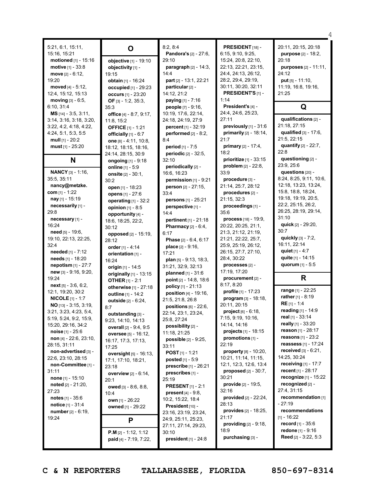| 5:21, 6:1, 15:11,            | $\mathbf O$               | 8:2, 8:4                           | PRESIDENT [18] -              | 20:11, 20:15, 20:18                                                                                              |
|------------------------------|---------------------------|------------------------------------|-------------------------------|------------------------------------------------------------------------------------------------------------------|
| 15:16, 15:21                 |                           | <b>Pandora's</b> [2] - 27:6,       | 6:15, 9:10, 9:25,             | purpose [2] - 18:2,                                                                                              |
| motioned [1] - 15:16         | objective [1] - 19:10     | 29:10                              | 15:24, 20:8, 22:10,           | 20:18                                                                                                            |
| <b>motive</b> $[1] - 33:8$   |                           | <b>paragraph</b> $[2] - 14:3$ ,    | 22:13, 22:21, 23:15,          | purposes [2] - 11:11,                                                                                            |
|                              | objectivity [1] -         | 14:4                               | 24:4, 24:13, 26:12,           | 24:12                                                                                                            |
| move $[2] - 6:12$ ,          | 19:15                     |                                    |                               |                                                                                                                  |
| 19:20                        | obtain [1] - 16:24        | part [2] - 13:1, 22:21             | 28:2, 29:4, 29:19,            | <b>put</b> $[5] - 11:10$ ,                                                                                       |
| moved [4] - 5:12,            | occupied $[1]$ - 29:23    | particular [2] -                   | 30:11, 30:20, 32:11           | 11:19, 16:8, 19:16,                                                                                              |
| 12:4, 15:12, 15:13           | occurs [1] - 23:20        | 14:12, 21:2                        | <b>PRESIDENT'S [1] -</b>      | 21:25                                                                                                            |
| <b>moving</b> $[3] - 6:5$ ,  | OF [3] - 1:2, 35:3,       | paying [1] - 7:16                  | 1:14                          |                                                                                                                  |
| 6:10, 31:4                   | 35:3                      | people [7] - 9:16,                 | President's [4] -             | Q                                                                                                                |
| $MS$ [14] - 3:5, 3:11,       | office [4] - 8:7, 9:17,   | 10:19, 17:6, 22:14,                | 24:4, 24:6, 25:23,            |                                                                                                                  |
| 3:14, 3:16, 3:18, 3:20,      | 11:8, 15:2                | 24:18, 24:19, 27:9                 | 27:11                         | qualifications [2] -                                                                                             |
| 3:22, 4:2, 4:18, 4:22,       | <b>OFFICE</b> [1] - 1:21  | percent [1] - 32:19                | previously [1] - 31:6         | 21:18, 27:15                                                                                                     |
| 4:24, 5:1, 5:3, 5:5          | officially [1] - 6:7      | performed $[2] - 8:2$ ,            | primarily [2] - 18:14,        | qualified $[3] - 17:6$ ,                                                                                         |
| mull $[1]$ - 20:2            | one $[8] - 4:11, 10:8,$   | 8:4                                | 21:7                          | 21:5, 22:15                                                                                                      |
| $must$ [1] - 25:20           | 18:12, 18:15, 18:16,      | period [1] - 7:5                   | primary [2] - 17:4,           | quantify [2] - 22:7,                                                                                             |
|                              | 24:14, 28:15, 30:9        | periodic [2] - 32:5,               | 18:2                          | 22:8                                                                                                             |
| N                            | ongoing [1] - 9:18        | 32:10                              | prioritize [1] - 33:15        | questioning [2] -                                                                                                |
|                              |                           | periodically [2] -                 | problem [2] - 22:8,           | 23:9, 25:6                                                                                                       |
| <b>NANCY</b> [3] - 1:16,     | online [1] - 5:9          | 16:6, 16:23                        | 33:9                          | questions [20] -                                                                                                 |
| 35:5, 35:11                  | onsite [2] - 30:1,        |                                    |                               | 8:24, 8:25, 9:11, 10:6,                                                                                          |
| nancy@metzke.                | 30:2                      | permission [1] - 9:21              | procedure [3] -               | 12:18, 13:23, 13:24,                                                                                             |
|                              | open [1] - 18:23          | person [2] - 27:15,                | 21:14, 25:7, 28:12            | 15:8, 18:8, 18:24,                                                                                               |
| com [1] - 1:22               | opens [1] - 27:6          | 33:4                               | procedures [2] -              |                                                                                                                  |
| $\text{may}$ [1] - 15:19     | operating $[1]$ - 32:2    | persons [1] - 25:21                | 21:15. 32:3                   | 19:18, 19:19, 20:5,                                                                                              |
| necessarily [1] -            | opinion $[1] - 8.5$       | perspective [1] -                  | proceedings [1] -             | 22:2, 25:15, 26:2,                                                                                               |
| 29:8                         | opportunity [4] -         | 14:4                               | 35:6                          | 26:25, 28:19, 29:14,                                                                                             |
| necessary [1] -              | 18:6, 18:25, 22:2,        | pertinent [1] - 21:18              | process [18] - 19:9,          | 31:10                                                                                                            |
| 16:24                        | 30:12                     | <b>Pharmacy</b> $[2] - 6:4$ ,      | 20:22, 20:25, 21:1,           | quick [2] - 29:20,                                                                                               |
| need $[5] - 19:6$ ,          | opposed [2] - 15:19,      | 6:17                               | 21:3, 21:12, 21:19,           | 30:7                                                                                                             |
| 19:10, 22:13, 22:25,         | 28:12                     | <b>Phase</b> $[2] - 6:4, 6:17$     | 21:21, 22:22, 25:7,           | quickly [3] - 7:2,                                                                                               |
| 32:4                         | order $[1] - 4:14$        | <b>place</b> $[2] - 9:16$ ,        | 25:9, 25:19, 26:12,           | 16:11, 22:14                                                                                                     |
| needed [1] - 7:12            |                           | 17:21                              | 26:15, 27:7, 27:10,           | quiet $[1] - 4:7$                                                                                                |
| needs [1] - 18:20            | orientation [1] -         |                                    | 28:4, 30:22                   | quite [1] - 14:15                                                                                                |
| <b>nepotism</b> $[1] - 27:7$ | 16:24                     | plan $[5]$ - 9:13, 18:3,           | processes [2] -               | quorum [1] - 5:5                                                                                                 |
| $new$ [3] - 9:16, 9:20,      | origin [1] - 14:5         | 31:21, 32:9, 32:13                 | 17:19, 17:20                  |                                                                                                                  |
|                              | originally [1] - 13:15    | planned $[1] - 31:6$               |                               | R                                                                                                                |
| 19:24                        | <b>OTHER</b> [1] - 2:1    | point [2] - 14:8, 18:6             | procurement [2] -             |                                                                                                                  |
|                              |                           |                                    |                               |                                                                                                                  |
| $next[5] - 3:6, 6:2,$        | otherwise [1] - 27:18     | policy [1] - 21:13                 | 8:17, 8:20                    |                                                                                                                  |
| 12:1, 19:20, 30:2            | <b>outline</b> [1] - 14:2 | position [4] - 19:16,              | profile [1] - 17:23           | range [1] - 22:25                                                                                                |
| <b>NICOLE</b> [1] - 1:7      |                           | 21:5, 21:8, 26:8                   | program [3] - 18:18,          | rather $[1] - 8:19$                                                                                              |
| NO [13] - 3:15, 3:19,        | outside [2] - 6:24,       |                                    | 20:11, 20:15                  | <b>RE</b> [1] - 1:4                                                                                              |
| 3:21, 3:23, 4:23, 5:4,       | 8:7                       | positions [6] - 22:6,              | <b>project</b> $[6] - 6:18$ , | reading [1] - 14:9                                                                                               |
| 5:19, 5:24, 9:2, 15:9,       | outstanding [3] -         | 22:14, 23:1, 23:24,<br>25:8, 27:24 | 7:15, 9:19, 10:16,            | real [1] - 33:14                                                                                                 |
| 15:20, 29:16, 34:2           | 9:23, 14:10, 14:13        |                                    | 14:14, 14:16                  | really [1] - 33:20                                                                                               |
| noise [1] - 25:6             | overall [2] - 9:4, 9:5    | possibility [2] -                  | projects [1] - 18:15          | reason $[1] - 28:17$                                                                                             |
|                              | oversee [5] - 16:12,      | 11:18, 21:25                       | promotions [1] -              | <b>reasons</b> $[1] - 23:2$                                                                                      |
| non [4] $- 22:6, 23:10,$     | 16:17, 17:3, 17:13,       | possible [2] - 9:25,               | 22:19                         |                                                                                                                  |
| 28:15, 31:11                 | 17:25                     | 33:11                              |                               |                                                                                                                  |
| non-advertised [3] -         | oversight [5] - 16:13,    | <b>POST</b> $[1] - 1:21$           | property [8] - 10:20,         | 14:25, 30:24                                                                                                     |
| 22:6, 23:10, 28:15           | 17:1, 17:10, 18:21,       | <b>posted</b> $[1] - 5:9$          | 10:21, 11:14, 11:15,          | received $[3] - 6:21$ ,                                                                                          |
| non-Committee [1] -          | 23:18                     | prescribe [1] - 26:21              | 12:1, 12:3, 12:6, 13:4        |                                                                                                                  |
| 31:11                        | overview [2] - 6:14,      | prescribes [1] -                   | proposed $[2] - 30:7$ ,       | recent [1] - 28:17                                                                                               |
| none [1] - 15:10             | 20:1                      | 25:19                              | 30:21                         |                                                                                                                  |
| noted $[2] - 21:20$ ,        | owed [3] - 8:6, 8:8,      | <b>PRESENT</b> $[1] - 2:1$         | provide [2] - 19:5,           | recognized [2] -                                                                                                 |
| 27:23                        | 10:4                      | <b>present</b> $[4] - 9.8$         | 32:16                         | 27:4, 31:15                                                                                                      |
| <b>notes</b> $[1] - 35:6$    | own [1] - 26:22           | 10:2, 15:22, 18:4                  | provided $[2] - 22:24$ ,      |                                                                                                                  |
| <b>notice</b> $[1] - 31:4$   |                           | President [10] -                   | 28:13                         | $-27:19$                                                                                                         |
| number [2] - 6:19,           | <b>owned</b> [1] - 29:22  | 23:16, 23:19, 23:24,               | provides [2] - 18:25,         |                                                                                                                  |
| 19:24                        |                           | 24:9, 25:11, 25:23,                | 21:17                         | $[1] - 16:22$                                                                                                    |
|                              | P                         |                                    | providing $[2] - 9:18$ ,      | <b>receiving</b> $[1] - 17:7$<br><b>record</b> $[1] - 35:6$                                                      |
|                              |                           | 27:11, 27:14, 29:23,               | 18:9                          | redone [1] - 9:16                                                                                                |
|                              | $P.M [2] - 1:12, 1:12$    | 30:10                              | purchasing [3] -              | reassess [1] - 17:24<br>recognize $[1]$ - 15:22<br>recommendation [1]<br>recommendations<br>Reed [2] - 3:22, 5:3 |
|                              | paid [4] - 7:19, 7:22,    | <b>president</b> $[1] - 24:8$      |                               |                                                                                                                  |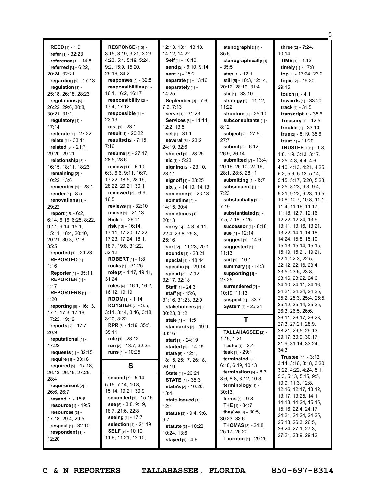| <b>REED</b> [1] - 1:9          | RESPONSE) [13] -                               | 12:13, 13:1, 13:18,             | stenographic [1] -              | three [2] - 7:24,                                  |
|--------------------------------|------------------------------------------------|---------------------------------|---------------------------------|----------------------------------------------------|
| refer $[1]$ - 32:23            | 3:15, 3:19, 3:21, 3:23,                        | 14:12, 14:22                    | 35:6                            | 10:14                                              |
| reference [1] - 14:8           | 4:23, 5:4, 5:19, 5:24,                         | Self [1] - 10:10                | stenographically [1]            | <b>TIME</b> $[1] - 1:12$                           |
| referred $[3] - 6:22$ ,        | 9:2, 15:9, 15:20,                              | send [2] - 9:10, 9:14           | - 35:5                          | timely [1] - 17:8                                  |
| 20:24, 32:21                   | 29:16, 34:2                                    | sent [1] - 15:2                 | step $[1] - 12:1$               | top [2] - 17:24, 23:2                              |
| regarding [1] - 17:13          | responses $[1]$ - $32:8$                       | separate [1] - 13:16            | still [5] - 10:3, 12:14,        | topic [2] - 19:20,                                 |
| regulation $[3]$ -             | responsibilities [3] -                         | separately [1] -                | 20:12, 28:10, 31:4              | 29:15                                              |
| 25:18, 26:18, 28:23            | 16:1, 16:2, 16:17                              | 14:25                           | <b>stir</b> $[1]$ - 33:10       | touch $[1] - 4:1$                                  |
| regulations [5] -              | responsibility [2] -                           | <b>September</b> [3] - 7:6,     | <b>strategy</b> $[2] - 11:12$ , | towards [1] - 33:20                                |
| 26:22, 29:6, 30:8,             | 17:4, 17:12                                    | 7:9, 7:13                       | 11:22                           | <b>track</b> [1] - 31:5                            |
| 30:21, 31:1                    | responsible [1] -                              | serve [1] - 31:23               | structure [1] - 25:10           | transcript $[1]$ - 35:6                            |
| regulatory [1] -               | 23:13                                          | Services [3] - 11:14,           | subconsultants [1] -            | <b>Treasury</b> [1] - 12:5                         |
| 17:14                          | rest $[1] - 23:1$                              | 12:2, 13:5                      | 8:12                            | trouble [1] - 33:10                                |
| <b>reiterate</b> $[1] - 27:22$ | result [1] - 20:22                             | set $[1] - 31:1$                | subject [2] - 27:5,             | true [2] - 8:19, 35:6                              |
| relate $[1] - 33:14$           | <b>resulted</b> $[2] - 7:15$ ,                 | several [3] - 23:2,             | 27:7                            | trust $[1] - 11:20$                                |
| <b>related</b> $[3] - 21:7$ ,  | 7:16                                           | 24:19, 32:6                     | <b>submit</b> $[3] - 6:12$      | <b>TRUSTEE</b> [101] - 1:8,                        |
| 29:20, 29:21                   | resume [3] - 27:17,                            | shored [1] - 28:25              | 26:9, 26:14                     | 1:8, 1:9, 3:13, 3:17,                              |
| relationship [3] -             | 28:5, 28:6                                     | sic $[1] - 5:23$                | submitted $[7] - 13:4$ ,        |                                                    |
| 16:15, 18:11, 18:23            | <b>review</b> $[11] - 5:10$ ,                  | signing $[2] - 23:10$ ,         | 20:16, 26:10, 27:16,            | 3:25, 4:3, 4:4, 4:6,                               |
| remaining [2] -                | 6:3, 6:6, 9:11, 16:7                           | 23:11                           | 28:1, 28:6, 28:11               | 4:10, 4:13, 4:21, 4:25,                            |
| 10:22, 13:6                    | 17:22, 18:5, 28:19,                            |                                 | submitting $[1] - 6:7$          | 5:2, 5:6, 5:12, 5:14,<br>5:15, 5:17, 5:20, 5:23,   |
| remember [1] - 23:1            | 28:22, 29:21, 30:1                             | signoff $[1] - 23:25$           | subsequent [1] -                | 5:25, 8:23, 9:3, 9:4,                              |
| render [1] - 8:5               | <b>reviewed</b> $[2] - 6:9$ ,                  | six [2] - 14:10, 14:13          | 7:23                            |                                                    |
|                                | 16:5                                           | someone [1] - 23:13             |                                 | 9:21, 9:22, 9:23, 10:5,<br>10:6, 10:7, 10:8, 11:1, |
| renovations [1] -              | reviews [1] - 32:10                            | sometime [2] -                  | substantially [1] -<br>7:19     | 11:4, 11:16, 11:17,                                |
| 29:22                          | revise $[1] - 21:13$                           | 14:15, 30:4                     |                                 |                                                    |
| <b>report</b> $[15] - 6:2$ ,   | Rick [1] - 26:11                               | sometimes [1] -                 | substantiated [3] -             | 11:18, 12:7, 12:16,<br>12:22, 12:24, 13:9,         |
| 6:14, 6:16, 6:25, 8:22,        | risk $[13] - 16:14$ ,                          | 20:13                           | 7:5, 7:18, 7:25                 | 13:11, 13:16, 13:21,                               |
| 9:11, 9:14, 15:1,              | 17:11, 17:20, 17:22,                           | <b>sorry</b> [6] $- 4:3, 4:11,$ | <b>successor</b> $[1] - 8:18$   | 13:22, 14:1, 14:18,                                |
| 15:11, 18:4, 20:10,            | 17:23, 17:24, 18:1,                            | 22:4, 23:8, 25:3,               | sue [1] - 12:14                 | 14:24, 15:8, 15:10,                                |
| 20:21, 30:3, 31:8,             |                                                | 25:16                           | suggest [1] - 14:6              | 15:13, 15:14, 15:15,                               |
| 35:5                           | 18:7, 19:8, 31:22,<br>32:12                    | sort [2] - 11:23, 20:1          | suggested [1] -                 | 15:19, 15:21, 19:21,                               |
| <b>reported</b> $[1]$ - 20:23  |                                                | sounds [1] - 28:21              | 11:13                           | 22:1, 22:3, 22:5,                                  |
| REPORTED [1] -                 | <b>ROBERT</b> $[1] - 1:8$                      | special [1] - 18:14             | suit $[1]$ - 10:1               | 22:12, 22:16, 23:4,                                |
| 1:16                           | rocks $[1] - 31:25$<br>role [3] - 4:17, 19:11, | specific [1] - 29:14            | <b>summary</b> $[1] - 14:3$     | 23:5, 23:6, 23:8,                                  |
| <b>Reporter</b> [1] - 35:11    | 31:24                                          | spend $[3] - 7:12$ ,            | supporting [1] -                | 23:16, 23:22, 24:6,                                |
| REPORTER <sub>[1]</sub> -      |                                                | 32:17, 32:18                    | 27:25                           | 24:10, 24:11, 24:16,                               |
| 1:17                           | roles [4] - 16:1, 16:2,<br>16:12, 19:19        | Staff [1] - 24:3                | surrendered [2] -               | 24:21, 24:24, 24:25,                               |
| <b>REPORTERS</b> [1]-          | ROOM [1] - 1:14                                | staff [4] - 15:6,               | 10:19, 11:13                    | 25:2, 25:3, 25:4, 25:5,                            |
| 1:20                           | <b>ROYSTER</b> [7] - 3:5,                      | 31:16, 31:23, 32:9              | suspect [1] - 33:7              | 25:12, 25:14, 25:25,                               |
| reporting [6] - 16:13,         |                                                | stakeholders [2] -              | System [1] - 26:21              | 26:3, 26:5, 26:6,                                  |
| 17:1. 17:3. 17:16.             | 3:11, 3:14, 3:16, 3:18,                        | 30:23, 31:2                     |                                 |                                                    |
| 17:22, 19:12                   |                                                |                                 |                                 |                                                    |
|                                | 3:20, 3:22                                     | stale [1] - 11:5                | Τ                               | 26:11, 26:17, 26:23,                               |
| <b>reports</b> $[2] - 17:7,$   | <b>RPR</b> [3] - 1:16, 35:5,                   | standards [2] - 19:9,           |                                 | 27:3, 27:21, 28:9,                                 |
| 20:9                           | 35:11                                          | 33:16                           | TALLAHASSEE [2] -               | 28:21, 29:5, 29:13,                                |
| reputational [1] -             | rule [1] - 28:12                               | start $[1] - 24:19$             | 1:15, 1:21                      | 29:17, 30:9, 30:17,                                |
| 17:22                          | run [2] - 13:7, 32:25                          | <b>started</b> [1] - 14:15      | Tasha $[1] - 3:4$               | 31:9, 31:14, 33:24,                                |
| <b>requests</b> $[1] - 32:15$  | <b>runs</b> [1] - 10:25                        | <b>state</b> $[5] - 12:1$ ,     | task [1] - 29:1                 | 34:3                                               |
| <b>require</b> $[1] - 33:18$   |                                                | 18:15, 25:17, 26:18,            | terminated [3] -                | <b>Trustee</b> [44] - 3:12,                        |
| required $[5] - 17:18$ ,       | S                                              | 26:19                           | 6:18, 6:19, 10:13               |                                                    |
| 26:13, 26:15, 27:25,           |                                                | <b>State</b> $[1]$ - 26:21      | termination $[5] - 8:3$ ,       | 3:22, 4:22, 4:24, 5:1,                             |
| 28:4                           | second [7] - 5:14,                             | <b>STATE</b> $[1]$ - 35:3       | 8:6, 8:8, 8:12, 10:3            | 5:3, 5:13, 5:15, 9:5,                              |
| requirement [2] -              | 5:15, 7:14, 10:8,                              | <b>state's</b> [2] - 10:20,     | terminology [1] -               | 10:9, 11:3, 12:8,                                  |
| 26:6, 26:7                     | 15:14, 19:21, 30:9                             | 13:4                            | 30:13                           | 12:16, 12:17, 13:12,                               |
| <b>resend</b> $[1] - 15:6$     | seconded [1] - 15:16                           | state-issued [1] -              | <b>terms</b> [1] - 9:8          | 13:17, 13:25, 14:1,                                |
| resource [1] - 19:5            | <b>see</b> [5] - 3:8, 9:19,                    | 12:1                            | <b>THE</b> $[1] - 34:7$         | 14:18, 14:24, 15:15,                               |
| resources [3] -                | 18:7, 21:6, 22:8                               | <b>status</b> $[3] - 9:4, 9:6,$ | they've $[3]$ - $30:5$ ,        | 15:16, 22:4, 24:17,                                |
| 17:18, 29:4, 29:5              | <b>seeing</b> [1] - 17:7                       | 9:7                             | 30:23, 33:6                     | 24:21, 24:24, 24:25,                               |
| respect $[1]$ - 32:10          | <b>selection</b> $[1] - 21:19$                 | <b>statute</b> [3] - 10:22,     | <b>THOMAS</b> $[3] - 24:8$ ,    | 25:13, 26:3, 26:5,                                 |
| respondent [1] -               | <b>SELF</b> [9] - 10:10,                       | 10:24, 13:6                     | 25:17, 26:20                    | 3:14, 3:16, 3:18, 3:20,<br>26:24, 27:1, 27:3,      |
| 12:20                          | 11:6, 11:21, 12:10,                            | <b>stayed</b> $[1] - 4:6$       | <b>Thornton</b> $[1]$ - 29:25   | 27:21, 28:9, 29:12,                                |

 $\overline{\phantom{0}5}$